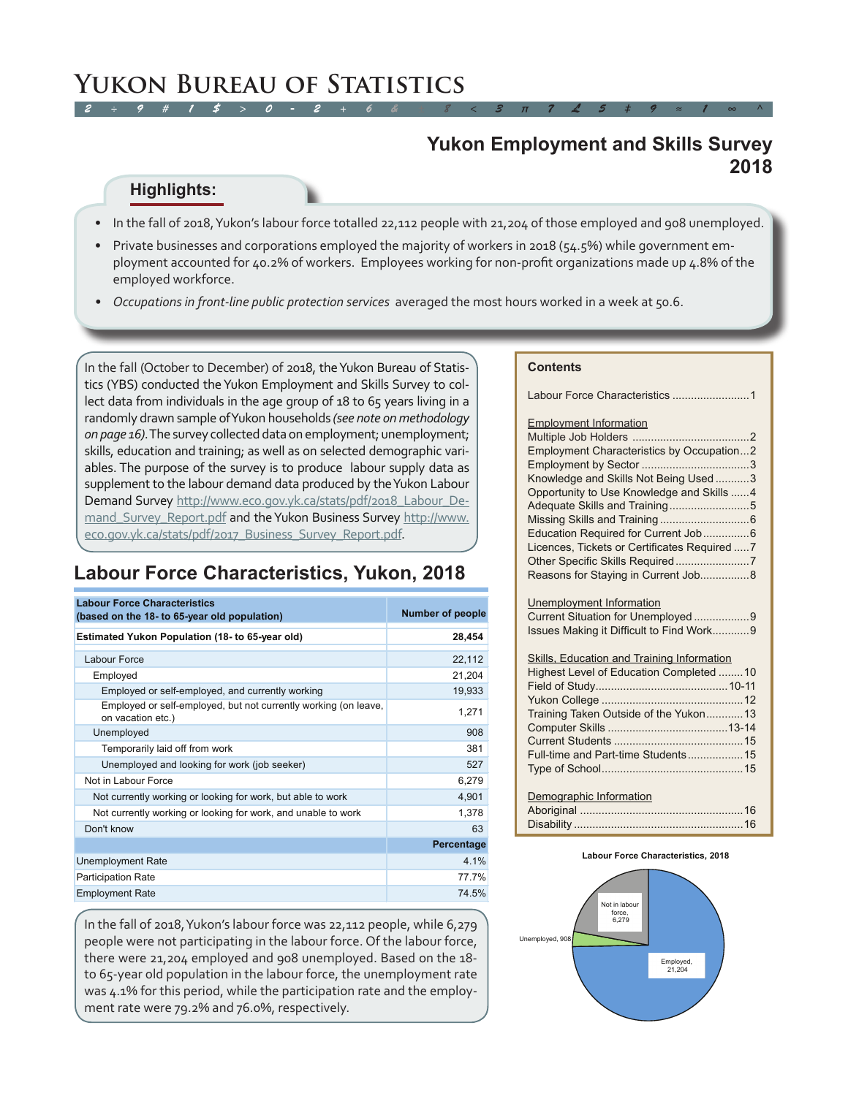#### **Yukon Employment and Skills Survey 2018**

#### **Highlights:**

- • In the fall of 2018, Yukon's labour force totalled 22,112 people with 21,204 of those employed and 908 unemployed.
- Private businesses and corporations employed the majority of workers in 2018 (54.5%) while government employment accounted for 40.2% of workers. Employees working for non-profit organizations made up 4.8% of the employed workforce.
- Occupations in front-line public protection services averaged the most hours worked in a week at 50.6.

In the fall (October to December) of 2018, the Yukon Bureau of Statistics (YBS) conducted the Yukon Employment and Skills Survey to collect data from individuals in the age group of 18 to 65 years living in a randomly drawn sample of Yukon households *(see note on methodology on page 16)*. The survey collected data on employment; unemployment; skills, education and training; as well as on selected demographic variables. The purpose of the survey is to produce labour supply data as supplement to the labour demand data produced by the Yukon Labour Demand Survey [http://www.eco.gov.yk.ca/stats/pdf/2018\\_Labour\\_De](http://www.eco.gov.yk.ca/stats/pdf/2018_Labour_Demand_Survey_Report.pdf)[mand\\_Survey\\_Report.pdf](http://www.eco.gov.yk.ca/stats/pdf/2018_Labour_Demand_Survey_Report.pdf) and the Yukon Business Survey [http://www.](http://www.eco.gov.yk.ca/stats/pdf/2017_Business_Survey_Report.pdf) eco.gov.yk.ca/stats/pdf/2017 Business Survey Report.pdf.

### **Labour Force Characteristics, Yukon, 2018**

| <b>Labour Force Characteristics</b><br>(based on the 18- to 65-year old population)  | <b>Number of people</b> |
|--------------------------------------------------------------------------------------|-------------------------|
| <b>Estimated Yukon Population (18- to 65-year old)</b>                               | 28,454                  |
| Labour Force                                                                         | 22,112                  |
| Employed                                                                             | 21,204                  |
| Employed or self-employed, and currently working                                     | 19,933                  |
| Employed or self-employed, but not currently working (on leave,<br>on vacation etc.) | 1,271                   |
| Unemployed                                                                           | 908                     |
| Temporarily laid off from work                                                       | 381                     |
| Unemployed and looking for work (job seeker)                                         | 527                     |
| Not in Labour Force                                                                  | 6,279                   |
| Not currently working or looking for work, but able to work                          | 4,901                   |
| Not currently working or looking for work, and unable to work                        | 1,378                   |
| Don't know                                                                           | 63                      |
|                                                                                      | Percentage              |
| <b>Unemployment Rate</b>                                                             | 4.1%                    |
| <b>Participation Rate</b>                                                            | 77.7%                   |
| <b>Employment Rate</b>                                                               | 74.5%                   |

In the fall of 2018, Yukon's labour force was 22,112 people, while 6,279 people were not participating in the labour force. Of the labour force, there were 21,204 employed and 908 unemployed. Based on the 18 to 65-year old population in the labour force, the unemployment rate was 4.1% for this period, while the participation rate and the employment rate were 79.2% and 76.0%, respectively.

#### **Contents**

| Labour Force Characteristics 1                                                                                                                                                                                                                                                                                                                                     |
|--------------------------------------------------------------------------------------------------------------------------------------------------------------------------------------------------------------------------------------------------------------------------------------------------------------------------------------------------------------------|
| <b>Employment Information</b><br>Employment Characteristics by Occupation2<br>Knowledge and Skills Not Being Used 3<br>Opportunity to Use Knowledge and Skills 4<br>Adequate Skills and Training5<br>Education Required for Current Job6<br>Licences, Tickets or Certificates Required 7<br>Other Specific Skills Required7<br>Reasons for Staying in Current Job8 |
| Unemployment Information<br>Current Situation for Unemployed 9<br>Issues Making it Difficult to Find Work9                                                                                                                                                                                                                                                         |
| Skills, Education and Training Information<br>Highest Level of Education Completed  10<br>Training Taken Outside of the Yukon13<br>Full-time and Part-time Students 15                                                                                                                                                                                             |
| Demographic Information                                                                                                                                                                                                                                                                                                                                            |

#### **Labour Force Characteristics, 2018**

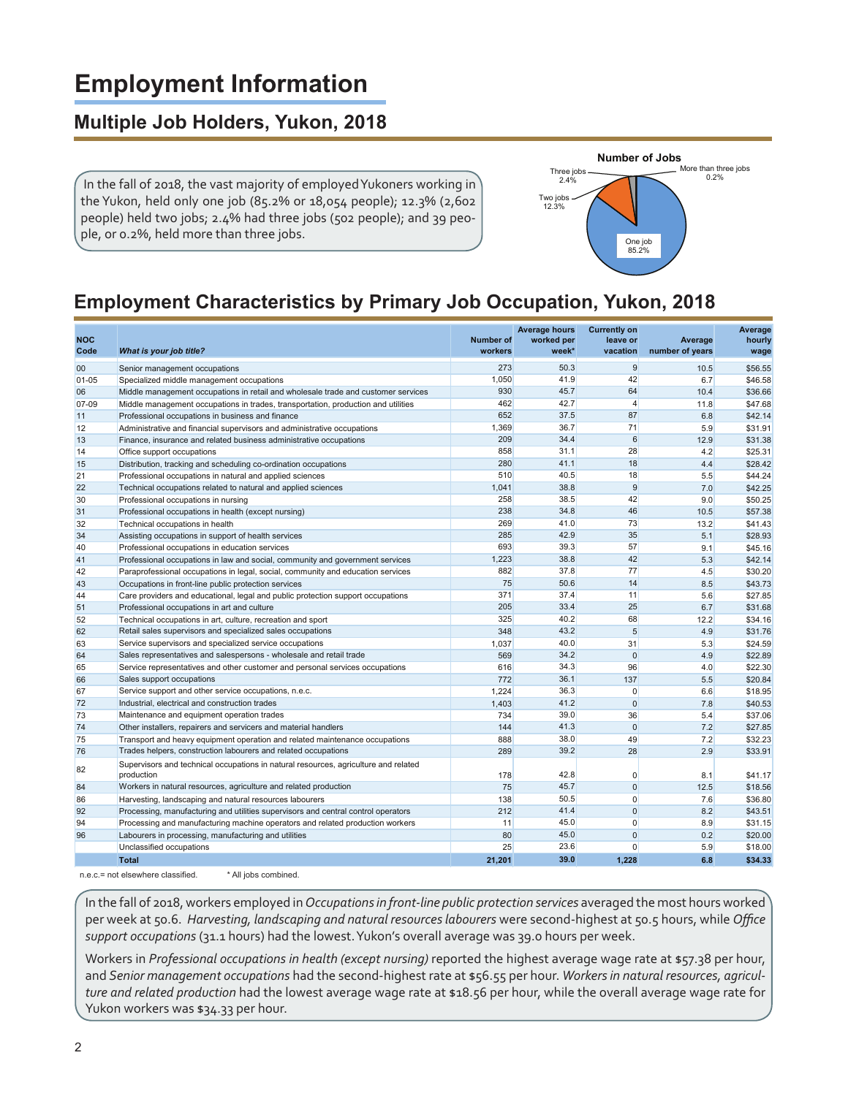# **Employment Information**

### **Multiple Job Holders, Yukon, 2018**

 In the fall of 2018, the vast majority of employed Yukoners working in the Yukon, held only one job (85.2% or 18,054 people); 12.3% (2,602 people) held two jobs; 2.4% had three jobs (502 people); and 39 people, or 0.2%, held more than three jobs.



### **Employment Characteristics by Primary Job Occupation, Yukon, 2018**

| <b>NOC</b> |                                                                                                   | <b>Number of</b> | <b>Average hours</b><br>worked per | <b>Currently on</b><br>leave or | Average         | Average<br>hourly |
|------------|---------------------------------------------------------------------------------------------------|------------------|------------------------------------|---------------------------------|-----------------|-------------------|
| Code       | What is your job title?                                                                           | workers          | week*                              | vacation                        | number of years | wage              |
| 00         | Senior management occupations                                                                     | 273              | 50.3                               | 9                               | 10.5            | \$56.55           |
| $01 - 05$  | Specialized middle management occupations                                                         | 1,050            | 41.9                               | 42                              | 6.7             | \$46.58           |
| 06         | Middle management occupations in retail and wholesale trade and customer services                 | 930              | 45.7                               | 64                              | 10.4            | \$36.66           |
| 07-09      | Middle management occupations in trades, transportation, production and utilities                 | 462              | 42.7                               | $\overline{4}$                  | 11.8            | \$47.68           |
| 11         | Professional occupations in business and finance                                                  | 652              | 37.5                               | 87                              | 6.8             | \$42.14           |
| 12         | Administrative and financial supervisors and administrative occupations                           | 1,369            | 36.7                               | 71                              | 5.9             | \$31.91           |
| 13         | Finance, insurance and related business administrative occupations                                | 209              | 34.4                               | 6                               | 12.9            | \$31.38           |
| 14         | Office support occupations                                                                        | 858              | 31.1                               | 28                              | 4.2             | \$25.31           |
| 15         | Distribution, tracking and scheduling co-ordination occupations                                   | 280              | 41.1                               | 18                              | 4.4             | \$28.42           |
| 21         | Professional occupations in natural and applied sciences                                          | 510              | 40.5                               | 18                              | 5.5             | \$44.24           |
| 22         | Technical occupations related to natural and applied sciences                                     | 1,041            | 38.8                               | 9                               | 7.0             | \$42.25           |
| 30         | Professional occupations in nursing                                                               | 258              | 38.5                               | 42                              | 9.0             | \$50.25           |
| 31         | Professional occupations in health (except nursing)                                               | 238              | 34.8                               | 46                              | 10.5            | \$57.38           |
| 32         | Technical occupations in health                                                                   | 269              | 41.0                               | 73                              | 13.2            | \$41.43           |
| 34         | Assisting occupations in support of health services                                               | 285              | 42.9                               | 35                              | 5.1             | \$28.93           |
| 40         | Professional occupations in education services                                                    | 693              | 39.3                               | 57                              | 9.1             | \$45.16           |
| 41         | Professional occupations in law and social, community and government services                     | 1,223            | 38.8                               | 42                              | 5.3             | \$42.14           |
| 42         | Paraprofessional occupations in legal, social, community and education services                   | 882              | 37.8                               | 77                              | 4.5             | \$30.20           |
| 43         | Occupations in front-line public protection services                                              | 75               | 50.6                               | 14                              | 8.5             | \$43.73           |
| 44         | Care providers and educational, legal and public protection support occupations                   | 371              | 37.4                               | 11                              | 5.6             | \$27.85           |
| 51         | Professional occupations in art and culture                                                       | 205              | 33.4                               | 25                              | 6.7             | \$31.68           |
| 52         | Technical occupations in art, culture, recreation and sport                                       | 325              | 40.2                               | 68                              | 12.2            | \$34.16           |
| 62         | Retail sales supervisors and specialized sales occupations                                        | 348              | 43.2                               | 5                               | 4.9             | \$31.76           |
| 63         | Service supervisors and specialized service occupations                                           | 1,037            | 40.0                               | 31                              | 5.3             | \$24.59           |
| 64         | Sales representatives and salespersons - wholesale and retail trade                               | 569              | 34.2                               | $\overline{0}$                  | 4.9             | \$22.89           |
| 65         | Service representatives and other customer and personal services occupations                      | 616              | 34.3                               | 96                              | 4.0             | \$22.30           |
| 66         | Sales support occupations                                                                         | 772              | 36.1                               | 137                             | 5.5             | \$20.84           |
| 67         | Service support and other service occupations, n.e.c.                                             | 1.224            | 36.3                               | $\Omega$                        | 6.6             | \$18.95           |
| 72         | Industrial, electrical and construction trades                                                    | 1,403            | 41.2                               | $\overline{0}$                  | 7.8             | \$40.53           |
| 73         | Maintenance and equipment operation trades                                                        | 734              | 39.0                               | 36                              | 5.4             | \$37.06           |
| 74         | Other installers, repairers and servicers and material handlers                                   | 144              | 41.3                               | $\overline{0}$                  | 7.2             | \$27.85           |
| 75         | Transport and heavy equipment operation and related maintenance occupations                       | 888              | 38.0                               | 49                              | 7.2             | \$32.23           |
| 76         | Trades helpers, construction labourers and related occupations                                    | 289              | 39.2                               | 28                              | 2.9             | \$33.91           |
| 82         | Supervisors and technical occupations in natural resources, agriculture and related<br>production | 178              | 42.8                               | $\overline{0}$                  | 8.1             | \$41.17           |
| 84         | Workers in natural resources, agriculture and related production                                  | 75               | 45.7                               | $\overline{0}$                  | 12.5            | \$18.56           |
| 86         | Harvesting, landscaping and natural resources labourers                                           | 138              | 50.5                               | $\Omega$                        | 7.6             | \$36.80           |
| 92         | Processing, manufacturing and utilities supervisors and central control operators                 | 212              | 41.4                               | $\overline{0}$                  | 8.2             | \$43.51           |
| 94         | Processing and manufacturing machine operators and related production workers                     | 11               | 45.0                               | $\overline{0}$                  | 8.9             | \$31.15           |
| 96         | Labourers in processing, manufacturing and utilities                                              | 80               | 45.0                               | $\overline{0}$                  | 0.2             | \$20.00           |
|            | Unclassified occupations                                                                          | 25               | 23.6                               | $\Omega$                        | 5.9             | \$18.00           |
|            | <b>Total</b>                                                                                      | 21.201           | 39.0                               | 1.228                           | 6.8             | \$34.33           |
|            | n.e.c.= not elsewhere classified.<br>* All jobs combined.                                         |                  |                                    |                                 |                 |                   |

In the fall of 2018, workers employed in *Occupations in front-line public protection services* averaged the most hours worked per week at 50.6. *Harvesting, landscaping and natural resources labourers* were second-highest at 50.5 hours, while *Office support occupations* (31.1 hours) had the lowest. Yukon's overall average was 39.0 hours per week.

Workers in *Professional occupations in health (except nursing)* reported the highest average wage rate at \$57.38 per hour, and *Senior management occupations* had the second-highest rate at \$56.55 per hour. *Workers in natural resources, agriculture and related production* had the lowest average wage rate at \$18.56 per hour, while the overall average wage rate for Yukon workers was \$34.33 per hour.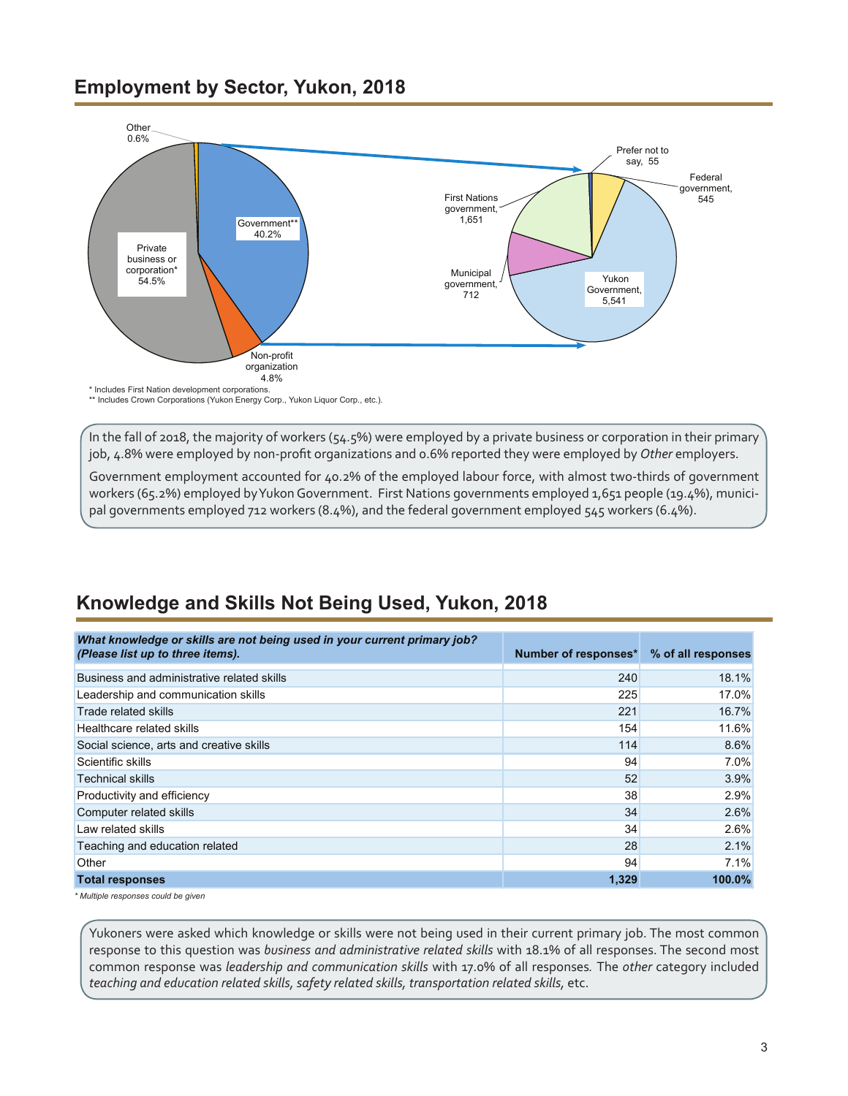#### <span id="page-2-0"></span>**Employment by Sector, Yukon, 2018**



\*\* Includes Crown Corporations (Yukon Energy Corp., Yukon Liquor Corp., etc.).

In the fall of 2018, the majority of workers (54.5%) were employed by a private business or corporation in their primary job, 4.8% were employed by non-profit organizations and 0.6% reported they were employed by *Other* employers.

Government employment accounted for 40.2% of the employed labour force, with almost two-thirds of government workers (65.2%) employed by Yukon Government. First Nations governments employed 1,651 people (19.4%), municipal governments employed 712 workers (8.4%), and the federal government employed 545 workers (6.4%).

### **Knowledge and Skills Not Being Used, Yukon, 2018**

| What knowledge or skills are not being used in your current primary job?<br>(Please list up to three items). | Number of responses* | % of all responses |
|--------------------------------------------------------------------------------------------------------------|----------------------|--------------------|
| Business and administrative related skills                                                                   | 240                  | 18.1%              |
| Leadership and communication skills                                                                          | 225                  | 17.0%              |
| Trade related skills                                                                                         | 221                  | 16.7%              |
| Healthcare related skills                                                                                    | 154                  | 11.6%              |
| Social science, arts and creative skills                                                                     | 114                  | 8.6%               |
| Scientific skills                                                                                            | 94                   | 7.0%               |
| <b>Technical skills</b>                                                                                      | 52                   | 3.9%               |
| Productivity and efficiency                                                                                  | 38                   | 2.9%               |
| Computer related skills                                                                                      | 34                   | 2.6%               |
| Law related skills                                                                                           | 34                   | 2.6%               |
| Teaching and education related                                                                               | 28                   | 2.1%               |
| Other                                                                                                        | 94                   | 7.1%               |
| <b>Total responses</b>                                                                                       | 1,329                | 100.0%             |

*\* Multiple responses could be given*

Yukoners were asked which knowledge or skills were not being used in their current primary job. The most common response to this question was *business and administrative related skills* with 18.1% of all responses. The second most common response was *leadership and communication skills* with 17.0% of all responses*.* The *other* category included teaching and education related skills, safety related skills, transportation related skills, etc.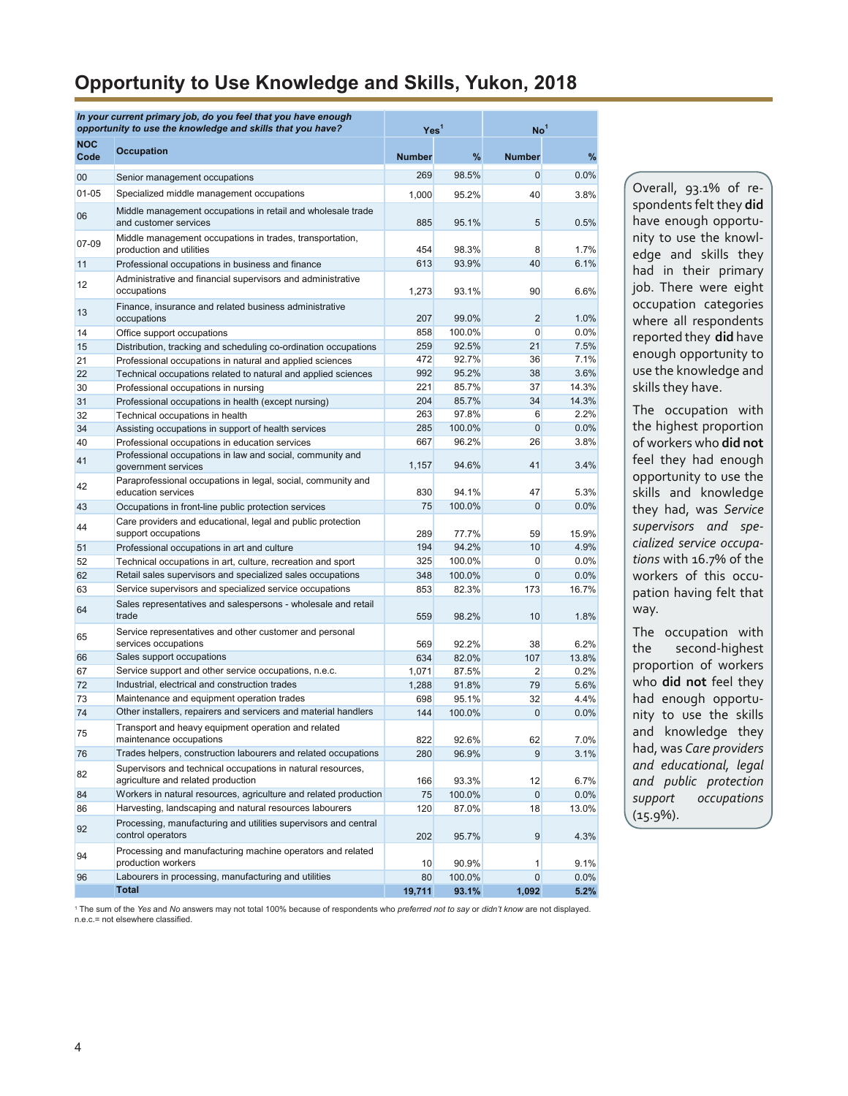#### **Opportunity to Use Knowledge and Skills, Yukon, 2018**

|                    | In your current primary job, do you feel that you have enough<br>opportunity to use the knowledge and skills that you have? | Yes <sup>1</sup> |        | No <sup>1</sup>   |              |
|--------------------|-----------------------------------------------------------------------------------------------------------------------------|------------------|--------|-------------------|--------------|
| <b>NOC</b><br>Code | <b>Occupation</b>                                                                                                           | <b>Number</b>    | %      | <b>Number</b>     | %            |
| 00                 | Senior management occupations                                                                                               | 269              | 98.5%  | 0                 | 0.0%         |
| $01 - 05$          | Specialized middle management occupations                                                                                   | 1,000            | 95.2%  | 40                | 3.8%         |
| 06                 | Middle management occupations in retail and wholesale trade<br>and customer services                                        | 885              | 95.1%  | 5                 | 0.5%         |
| 07-09              | Middle management occupations in trades, transportation,<br>production and utilities                                        | 454              | 98.3%  | 8                 | 1.7%         |
| 11                 | Professional occupations in business and finance                                                                            | 613              | 93.9%  | 40                | 6.1%         |
| 12                 | Administrative and financial supervisors and administrative<br>occupations                                                  | 1.273            | 93.1%  | 90                | 6.6%         |
| 13                 | Finance, insurance and related business administrative<br>occupations                                                       | 207              | 99.0%  | 2                 | 1.0%         |
| 14                 | Office support occupations                                                                                                  | 858              | 100.0% | 0                 | 0.0%         |
| 15                 | Distribution, tracking and scheduling co-ordination occupations                                                             | 259              | 92.5%  | 21                | 7.5%         |
| 21                 | Professional occupations in natural and applied sciences                                                                    | 472              | 92.7%  | 36                | 7.1%         |
| 22                 | Technical occupations related to natural and applied sciences                                                               | 992              | 95.2%  | 38                | 3.6%         |
| 30                 | Professional occupations in nursing                                                                                         | 221              | 85.7%  | 37                | 14.3%        |
| 31                 | Professional occupations in health (except nursing)                                                                         | 204              | 85.7%  | 34                | 14.3%        |
| 32                 | Technical occupations in health                                                                                             | 263              | 97.8%  | 6                 | 2.2%         |
| 34                 | Assisting occupations in support of health services                                                                         | 285              | 100.0% | $\mathbf{0}$      | 0.0%         |
| 40                 | Professional occupations in education services                                                                              | 667              | 96.2%  | 26                | 3.8%         |
| 41                 | Professional occupations in law and social, community and<br>government services                                            | 1.157            | 94.6%  | 41                | 3.4%         |
| 42                 | Paraprofessional occupations in legal, social, community and<br>education services                                          | 830              | 94.1%  | 47                | 5.3%         |
| 43                 | Occupations in front-line public protection services                                                                        | 75               | 100.0% | $\mathbf{0}$      | 0.0%         |
| 44                 | Care providers and educational, legal and public protection<br>support occupations                                          | 289              | 77.7%  | 59                | 15.9%        |
| 51                 | Professional occupations in art and culture                                                                                 | 194              | 94.2%  | 10                | 4.9%         |
| 52                 | Technical occupations in art, culture, recreation and sport                                                                 | 325              | 100.0% | $\Omega$          | 0.0%         |
| 62                 | Retail sales supervisors and specialized sales occupations                                                                  | 348              | 100.0% | $\mathbf{0}$      | 0.0%         |
| 63                 | Service supervisors and specialized service occupations                                                                     | 853              | 82.3%  | 173               | 16.7%        |
| 64                 | Sales representatives and salespersons - wholesale and retail<br>trade                                                      | 559              | 98.2%  | 10                | 1.8%         |
| 65                 | Service representatives and other customer and personal<br>services occupations                                             | 569              | 92.2%  | 38                | 6.2%         |
| 66                 | Sales support occupations                                                                                                   | 634              | 82.0%  | 107               | 13.8%        |
| 67                 | Service support and other service occupations, n.e.c.                                                                       | 1,071            | 87.5%  | $\overline{2}$    | 0.2%         |
| 72                 | Industrial, electrical and construction trades                                                                              | 1,288            | 91.8%  | 79                | 5.6%         |
| 73                 | Maintenance and equipment operation trades                                                                                  | 698              | 95.1%  | 32                | 4.4%         |
| 74                 | Other installers, repairers and servicers and material handlers                                                             | 144              | 100.0% | $\mathbf{0}$      | 0.0%         |
| 75                 | Transport and heavy equipment operation and related<br>maintenance occupations                                              | 822              | 92.6%  | 62                | 7.0%         |
| 76                 | Trades helpers, construction labourers and related occupations                                                              | 280              | 96.9%  | 9                 | 3.1%         |
| 82                 | Supervisors and technical occupations in natural resources,<br>agriculture and related production                           | 166              | 93.3%  | $12 \overline{ }$ | 6.7%         |
| 84                 | Workers in natural resources, agriculture and related production                                                            | 75               | 100.0% | $\mathbf{0}$      | 0.0%         |
| 86                 | Harvesting, landscaping and natural resources labourers                                                                     | 120              | 87.0%  | 18                | 13.0%        |
| 92                 | Processing, manufacturing and utilities supervisors and central<br>control operators                                        | 202              | 95.7%  | 9                 | 4.3%         |
| 94                 | Processing and manufacturing machine operators and related<br>production workers                                            |                  | 90.9%  | 1                 |              |
| 96                 | Labourers in processing, manufacturing and utilities                                                                        | 10<br>80         | 100.0% | 0                 | 9.1%<br>0.0% |
|                    | <b>Total</b>                                                                                                                | 19,711           | 93.1%  | 1,092             | 5.2%         |

Overall, 93.1% of respondents felt they **did** have enough opportunity to use the knowledge and skills they had in their primary job. There were eight occupation categories where all respondents reported they **did** have enough opportunity to use the knowledge and skills they have.

The occupation with the highest proportion of workers who **did not** feel they had enough opportunity to use the skills and knowledge they had, was *Service supervisors and specialized service occupations* with 16.7% of the workers of this occupation having felt that way.

The occupation with the second-highest proportion of workers who **did not** feel they had enough opportunity to use the skills and knowledge they had, was *Care providers and educational, legal and public protection support occupations* (15.9%).

1 The sum of the *Yes* and *No* answers may not total 100% because of respondents who *preferred not to say* or *didn't know* are not displayed. n.e.c.= not elsewhere classified.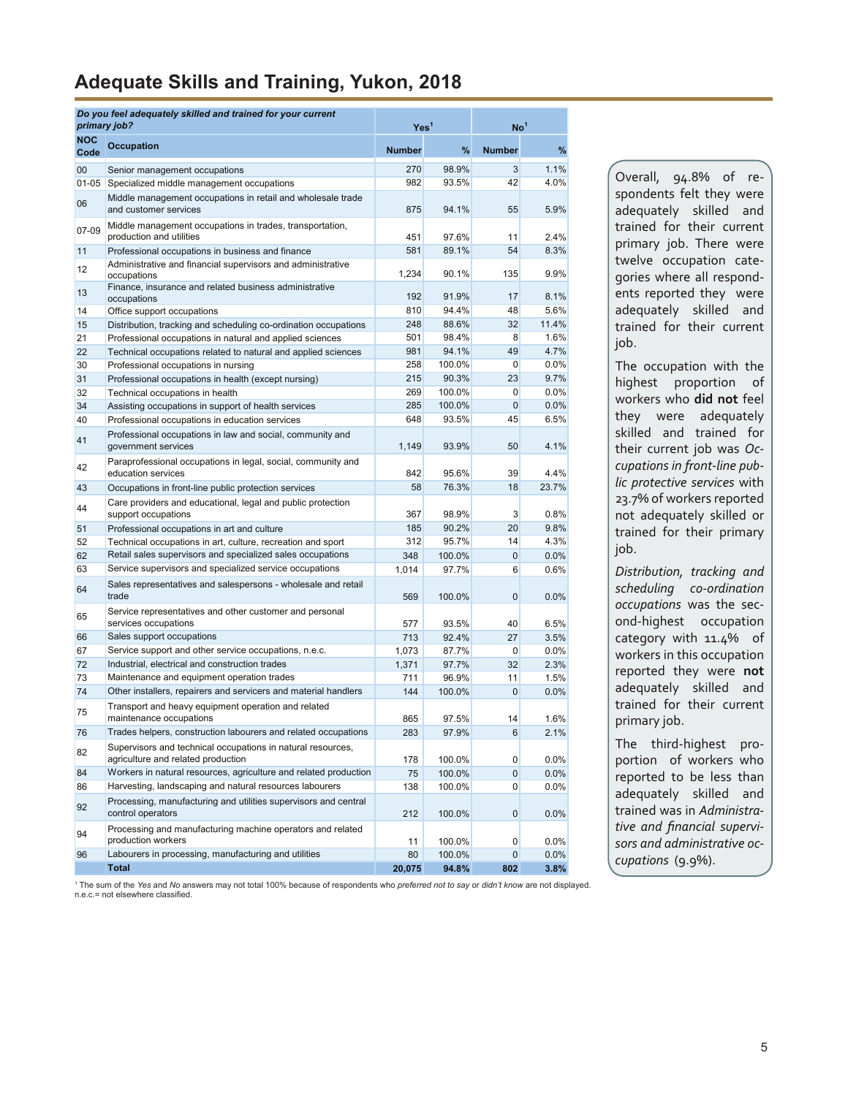### <span id="page-4-0"></span>**Adequate Skills and Training, Yukon, 2018**

| primary job?       | Do you feel adequately skilled and trained for your current                                       | Yes <sup>1</sup> |        | $\mathsf{No}^1$ |         |
|--------------------|---------------------------------------------------------------------------------------------------|------------------|--------|-----------------|---------|
| <b>NOC</b><br>Code | <b>Occupation</b>                                                                                 | <b>Number</b>    | %      | <b>Number</b>   | $\%$    |
| 00                 | Senior management occupations                                                                     | 270              | 98.9%  | 3               | 1.1%    |
| $01 - 05$          | Specialized middle management occupations                                                         | 982              | 93.5%  | 42              | 4.0%    |
| 06                 | Middle management occupations in retail and wholesale trade<br>and customer services              | 875              | 94.1%  | 55              | 5.9%    |
| 07-09              | Middle management occupations in trades, transportation,<br>production and utilities              | 451              | 97.6%  | 11              | 2.4%    |
| 11                 | Professional occupations in business and finance                                                  | 581              | 89.1%  | 54              | 8.3%    |
| 12                 | Administrative and financial supervisors and administrative                                       | 1,234            | 90.1%  | 135             | 9.9%    |
| 13                 | occupations<br>Finance, insurance and related business administrative<br>occupations              | 192              | 91.9%  | 17              | 8.1%    |
| 14                 | Office support occupations                                                                        | 810              | 94.4%  | 48              | 5.6%    |
| 15                 | Distribution, tracking and scheduling co-ordination occupations                                   | 248              | 88.6%  | 32              | 11.4%   |
| 21                 | Professional occupations in natural and applied sciences                                          | 501              | 98.4%  | 8               | 1.6%    |
| 22                 | Technical occupations related to natural and applied sciences                                     | 981              | 94.1%  | 49              | 4.7%    |
| 30                 | Professional occupations in nursing                                                               | 258              | 100.0% | $\mathbf 0$     | 0.0%    |
| 31                 | Professional occupations in health (except nursing)                                               | 215              | 90.3%  | 23              | 9.7%    |
| 32                 | Technical occupations in health                                                                   | 269              | 100.0% | 0               | 0.0%    |
| 34                 | Assisting occupations in support of health services                                               | 285              | 100.0% | $\mathbf 0$     | 0.0%    |
| 40                 | Professional occupations in education services                                                    | 648              | 93.5%  | 45              | 6.5%    |
| 41                 | Professional occupations in law and social, community and<br>government services                  | 1,149            | 93.9%  | 50              | 4.1%    |
| 42                 | Paraprofessional occupations in legal, social, community and<br>education services                | 842              | 95.6%  | 39              | 4.4%    |
| 43                 | Occupations in front-line public protection services                                              | 58               | 76.3%  | 18              | 23.7%   |
| 44                 | Care providers and educational, legal and public protection<br>support occupations                | 367              | 98.9%  | 3               | 0.8%    |
| 51                 | Professional occupations in art and culture                                                       | 185              | 90.2%  | 20              | 9.8%    |
| 52                 | Technical occupations in art, culture, recreation and sport                                       | 312              | 95.7%  | 14              | 4.3%    |
| 62                 | Retail sales supervisors and specialized sales occupations                                        | 348              | 100.0% | $\mathbf 0$     | 0.0%    |
| 63                 | Service supervisors and specialized service occupations                                           | 1,014            | 97.7%  | 6               | 0.6%    |
| 64                 | Sales representatives and salespersons - wholesale and retail<br>trade                            | 569              | 100.0% | 0               | 0.0%    |
| 65                 | Service representatives and other customer and personal<br>services occupations                   | 577              | 93.5%  | 40              | 6.5%    |
| 66                 | Sales support occupations                                                                         | 713              | 92.4%  | 27              | 3.5%    |
| 67                 | Service support and other service occupations, n.e.c.                                             | 1,073            | 87.7%  | 0               | 0.0%    |
| 72                 | Industrial, electrical and construction trades                                                    | 1,371            | 97.7%  | 32              | 2.3%    |
| 73                 | Maintenance and equipment operation trades                                                        | 711              | 96.9%  | 11              | 1.5%    |
| 74                 | Other installers, repairers and servicers and material handlers                                   | 144              | 100.0% | 0               | 0.0%    |
| 75                 | Transport and heavy equipment operation and related<br>maintenance occupations                    | 865              | 97.5%  | 14              | 1.6%    |
| 76                 | Trades helpers, construction labourers and related occupations                                    | 283              | 97.9%  | 6               | 2.1%    |
| 82                 | Supervisors and technical occupations in natural resources,<br>agriculture and related production | 178              | 100.0% | $\overline{0}$  | 0.0%    |
| 84                 | Workers in natural resources, agriculture and related production                                  | 75               | 100.0% | 0               | 0.0%    |
| 86                 | Harvesting, landscaping and natural resources labourers                                           | 138              | 100.0% | $\overline{0}$  | 0.0%    |
| 92                 | Processing, manufacturing and utilities supervisors and central<br>control operators              | 212              | 100.0% | $\overline{0}$  | 0.0%    |
| 94                 | Processing and manufacturing machine operators and related<br>production workers                  | 11               | 100.0% | 0               | $0.0\%$ |
| 96                 | Labourers in processing, manufacturing and utilities                                              | 80               | 100.0% | $\overline{0}$  | 0.0%    |
|                    | <b>Total</b>                                                                                      | 20,075           | 94.8%  | 802             | 3.8%    |

Overall, 94.8% of respondents felt they were adequately skilled and trained for their current primary job. There were twelve occupation categories where all respondents reported they were adequately skilled and trained for their current job.

The occupation with the highest proportion of workers who **did not** feel they were adequately skilled and trained for their current job was *Occupations in front-line public protective services* with 23.7% of workers reported not adequately skilled or trained for their primary job.

*Distribution, tracking and scheduling co-ordination occupations* was the second-highest occupation category with 11.4% of workers in this occupation reported they were **not** adequately skilled and trained for their current primary job.

The third-highest proportion of workers who reported to be less than adequately skilled and trained was in *Administrative and financial supervisors and administrative occupations* (9.9%).

1 The sum of the *Yes* and *No* answers may not total 100% because of respondents who *preferred not to say* or *didn't know* are not displayed. n.e.c.= not elsewhere classified.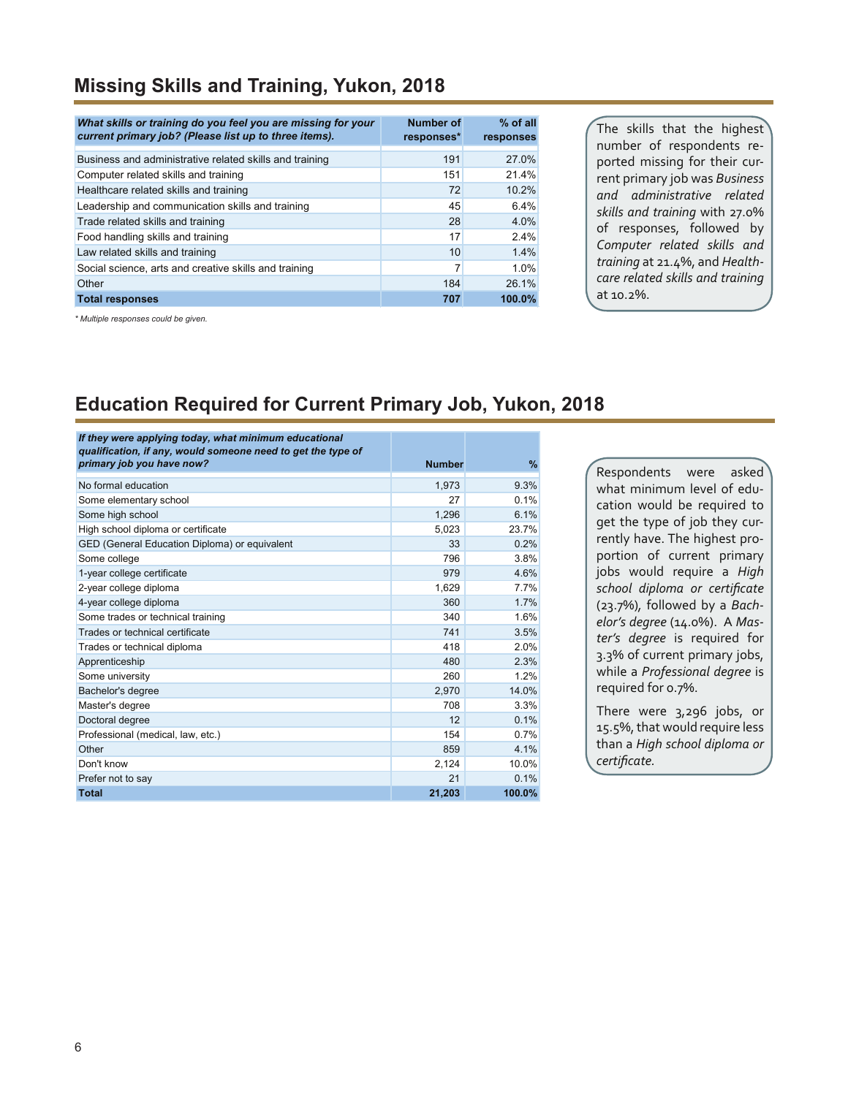#### **Missing Skills and Training, Yukon, 2018**

| What skills or training do you feel you are missing for your<br>current primary job? (Please list up to three items). | <b>Number of</b><br>responses* | $%$ of all<br>responses |
|-----------------------------------------------------------------------------------------------------------------------|--------------------------------|-------------------------|
| Business and administrative related skills and training                                                               | 191                            | 27.0%                   |
| Computer related skills and training                                                                                  | 151                            | 21.4%                   |
| Healthcare related skills and training                                                                                | 72                             | 10.2%                   |
| Leadership and communication skills and training                                                                      | 45                             | 6.4%                    |
| Trade related skills and training                                                                                     | 28                             | 4.0%                    |
| Food handling skills and training                                                                                     | 17                             | 2.4%                    |
| Law related skills and training                                                                                       | 10                             | 1.4%                    |
| Social science, arts and creative skills and training                                                                 |                                | 1.0%                    |
| Other                                                                                                                 | 184                            | 26.1%                   |
| <b>Total responses</b>                                                                                                | 707                            | 100.0%                  |

The skills that the highest number of respondents reported missing for their current primary job was *Business and administrative related skills and training* with 27.0% of responses, followed by *Computer related skills and training* at 21.4%, and *Healthcare related skills and training* at 10.2%.

*\* Multiple responses could be given.*

### **Education Required for Current Primary Job, Yukon, 2018**

| If they were applying today, what minimum educational<br>qualification, if any, would someone need to get the type of<br>primary job you have now? | <b>Number</b> | %      |
|----------------------------------------------------------------------------------------------------------------------------------------------------|---------------|--------|
| No formal education                                                                                                                                | 1,973         | 9.3%   |
| Some elementary school                                                                                                                             | 27            | 0.1%   |
| Some high school                                                                                                                                   | 1.296         | 6.1%   |
| High school diploma or certificate                                                                                                                 | 5,023         | 23.7%  |
| GED (General Education Diploma) or equivalent                                                                                                      | 33            | 0.2%   |
| Some college                                                                                                                                       | 796           | 3.8%   |
| 1-year college certificate                                                                                                                         | 979           | 4.6%   |
| 2-year college diploma                                                                                                                             | 1,629         | 7.7%   |
| 4-year college diploma                                                                                                                             | 360           | 1.7%   |
| Some trades or technical training                                                                                                                  | 340           | 1.6%   |
| Trades or technical certificate                                                                                                                    | 741           | 3.5%   |
| Trades or technical diploma                                                                                                                        | 418           | 2.0%   |
| Apprenticeship                                                                                                                                     | 480           | 2.3%   |
| Some university                                                                                                                                    | 260           | 1.2%   |
| Bachelor's degree                                                                                                                                  | 2.970         | 14.0%  |
| Master's degree                                                                                                                                    | 708           | 3.3%   |
| Doctoral degree                                                                                                                                    | 12            | 0.1%   |
| Professional (medical, law, etc.)                                                                                                                  | 154           | 0.7%   |
| Other                                                                                                                                              | 859           | 4.1%   |
| Don't know                                                                                                                                         | 2,124         | 10.0%  |
| Prefer not to say                                                                                                                                  | 21            | 0.1%   |
| <b>Total</b>                                                                                                                                       | 21,203        | 100.0% |

Respondents were asked what minimum level of education would be required to get the type of job they currently have. The highest proportion of current primary jobs would require a *High school diploma or certificate* (23.7%)*,* followed by a *Bachelor's degree* (14.0%). A *Master's degree* is required for 3.3% of current primary jobs, while a *Professional degree* is required for 0.7%.

There were 3,296 jobs, or 15.5%, that would require less than a *High school diploma or certificate.*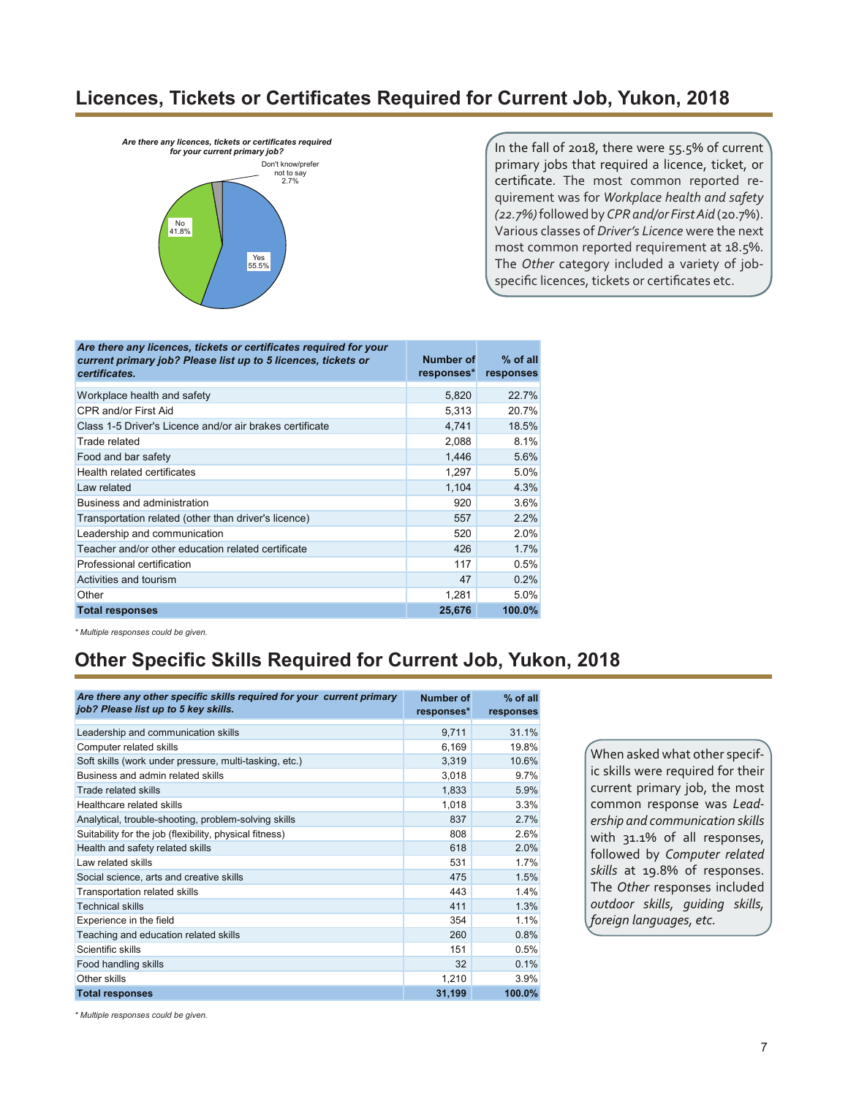#### **Licences, Tickets or Certificates Required for Current Job, Yukon, 2018**



In the fall of 2018, there were 55.5% of current primary jobs that required a licence, ticket, or certificate. The most common reported requirement was for *Workplace health and safety (22.7%)* followed by *CPR and/or First Aid* (20.7%). Various classes of *Driver's Licence* were the next most common reported requirement at 18.5%. The *Other* category included a variety of jobspecific licences, tickets or certificates etc.

| Are there any licences, tickets or certificates required for your<br>current primary job? Please list up to 5 licences, tickets or<br>certificates. | Number of<br>responses* | $%$ of all<br>responses |
|-----------------------------------------------------------------------------------------------------------------------------------------------------|-------------------------|-------------------------|
| Workplace health and safety                                                                                                                         | 5,820                   | 22.7%                   |
| CPR and/or First Aid                                                                                                                                | 5,313                   | 20.7%                   |
| Class 1-5 Driver's Licence and/or air brakes certificate                                                                                            | 4.741                   | 18.5%                   |
| Trade related                                                                                                                                       | 2,088                   | 8.1%                    |
| Food and bar safety                                                                                                                                 | 1,446                   | 5.6%                    |
| Health related certificates                                                                                                                         | 1,297                   | 5.0%                    |
| Law related                                                                                                                                         | 1,104                   | 4.3%                    |
| Business and administration                                                                                                                         | 920                     | 3.6%                    |
| Transportation related (other than driver's licence)                                                                                                | 557                     | 2.2%                    |
| Leadership and communication                                                                                                                        | 520                     | 2.0%                    |
| Teacher and/or other education related certificate                                                                                                  | 426                     | 1.7%                    |
| Professional certification                                                                                                                          | 117                     | 0.5%                    |
| Activities and tourism                                                                                                                              | 47                      | 0.2%                    |
| Other                                                                                                                                               | 1,281                   | 5.0%                    |
| <b>Total responses</b>                                                                                                                              | 25,676                  | 100.0%                  |

*\* Multiple responses could be given.*

### **Other Specific Skills Required for Current Job, Yukon, 2018**

| Are there any other specific skills required for your current primary<br>job? Please list up to 5 key skills. | <b>Number of</b><br>responses* | $%$ of all<br>responses |
|---------------------------------------------------------------------------------------------------------------|--------------------------------|-------------------------|
| Leadership and communication skills                                                                           | 9,711                          | 31.1%                   |
| Computer related skills                                                                                       | 6,169                          | 19.8%                   |
| Soft skills (work under pressure, multi-tasking, etc.)                                                        | 3,319                          | 10.6%                   |
| Business and admin related skills                                                                             | 3,018                          | 9.7%                    |
| Trade related skills                                                                                          | 1,833                          | 5.9%                    |
| Healthcare related skills                                                                                     | 1,018                          | 3.3%                    |
| Analytical, trouble-shooting, problem-solving skills                                                          | 837                            | 2.7%                    |
| Suitability for the job (flexibility, physical fitness)                                                       | 808                            | 2.6%                    |
| Health and safety related skills                                                                              | 618                            | 2.0%                    |
| Law related skills                                                                                            | 531                            | 1.7%                    |
| Social science, arts and creative skills                                                                      | 475                            | 1.5%                    |
| Transportation related skills                                                                                 | 443                            | 1.4%                    |
| <b>Technical skills</b>                                                                                       | 411                            | 1.3%                    |
| Experience in the field                                                                                       | 354                            | 1.1%                    |
| Teaching and education related skills                                                                         | 260                            | 0.8%                    |
| Scientific skills                                                                                             | 151                            | 0.5%                    |
| Food handling skills                                                                                          | 32                             | 0.1%                    |
| Other skills                                                                                                  | 1,210                          | 3.9%                    |
| <b>Total responses</b>                                                                                        | 31,199                         | 100.0%                  |

When asked what other specific skills were required for their current primary job, the most common response was *Leadership and communication skills* with 31.1% of all responses, followed by *Computer related skills* at 19.8% of responses. The *Other* responses included *outdoor skills, guiding skills, foreign languages, etc.*

*\* Multiple responses could be given.*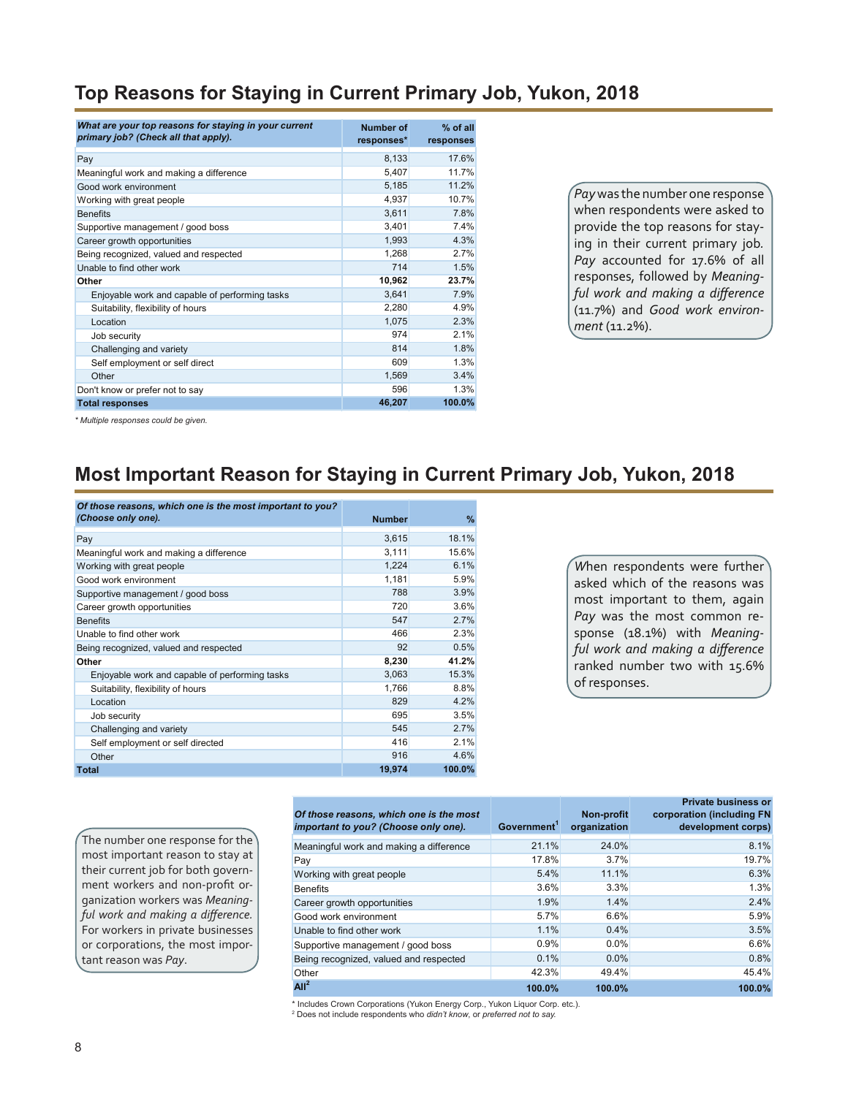#### **Top Reasons for Staying in Current Primary Job, Yukon, 2018**

| What are your top reasons for staying in your current<br>primary job? (Check all that apply). | Number of<br>responses* | $%$ of all<br>responses |
|-----------------------------------------------------------------------------------------------|-------------------------|-------------------------|
| Pay                                                                                           | 8,133                   | 17.6%                   |
| Meaningful work and making a difference                                                       | 5,407                   | 11.7%                   |
| Good work environment                                                                         | 5,185                   | 11.2%                   |
| Working with great people                                                                     | 4,937                   | 10.7%                   |
| <b>Benefits</b>                                                                               | 3,611                   | 7.8%                    |
| Supportive management / good boss                                                             | 3,401                   | 7.4%                    |
| Career growth opportunities                                                                   | 1,993                   | 4.3%                    |
| Being recognized, valued and respected                                                        | 1,268                   | 2.7%                    |
| Unable to find other work                                                                     | 714                     | 1.5%                    |
| Other                                                                                         | 10,962                  | 23.7%                   |
| Enjoyable work and capable of performing tasks                                                | 3,641                   | 7.9%                    |
| Suitability, flexibility of hours                                                             | 2,280                   | 4.9%                    |
| Location                                                                                      | 1,075                   | 2.3%                    |
| Job security                                                                                  | 974                     | 2.1%                    |
| Challenging and variety                                                                       | 814                     | 1.8%                    |
| Self employment or self direct                                                                | 609                     | 1.3%                    |
| Other                                                                                         | 1,569                   | 3.4%                    |
| Don't know or prefer not to say                                                               | 596                     | 1.3%                    |
| <b>Total responses</b>                                                                        | 46,207                  | 100.0%                  |

*Pay* was the number one response when respondents were asked to provide the top reasons for staying in their current primary job*.*  Pay accounted for 17.6% of all responses, followed by *Meaningful work and making a difference* (11.7%) and *Good work environment* (11.2%).

*\* Multiple responses could be given.*

#### **Most Important Reason for Staying in Current Primary Job, Yukon, 2018**

| Of those reasons, which one is the most important to you? |               |        |
|-----------------------------------------------------------|---------------|--------|
| (Choose only one).                                        | <b>Number</b> | $\%$   |
| Pay                                                       | 3,615         | 18.1%  |
| Meaningful work and making a difference                   | 3,111         | 15.6%  |
| Working with great people                                 | 1,224         | 6.1%   |
| Good work environment                                     | 1,181         | 5.9%   |
| Supportive management / good boss                         | 788           | 3.9%   |
| Career growth opportunities                               | 720           | 3.6%   |
| <b>Benefits</b>                                           | 547           | 2.7%   |
| Unable to find other work                                 | 466           | 2.3%   |
| Being recognized, valued and respected                    | 92            | 0.5%   |
| Other                                                     | 8,230         | 41.2%  |
| Enjoyable work and capable of performing tasks            | 3,063         | 15.3%  |
| Suitability, flexibility of hours                         | 1,766         | 8.8%   |
| Location                                                  | 829           | 4.2%   |
| Job security                                              | 695           | 3.5%   |
| Challenging and variety                                   | 545           | 2.7%   |
| Self employment or self directed                          | 416           | 2.1%   |
| Other                                                     | 916           | 4.6%   |
| Total                                                     | 19,974        | 100.0% |

*W*hen respondents were further asked which of the reasons was most important to them, again *Pay* was the most common response (18.1%) with *Meaningful work and making a difference* ranked number two with 15.6% of responses.

The number one response for the most important reason to stay at their current job for both government workers and non-profit organization workers was *Meaningful work and making a difference.* For workers in private businesses or corporations, the most important reason was *Pay*.

| Of those reasons, which one is the most<br>important to you? (Choose only one). | Government <sup>1</sup> | Non-profit<br>organization | <b>Private business or</b><br>corporation (including FN<br>development corps) |
|---------------------------------------------------------------------------------|-------------------------|----------------------------|-------------------------------------------------------------------------------|
| Meaningful work and making a difference                                         | 21.1%                   | 24.0%                      | 8.1%                                                                          |
| Pay                                                                             | 17.8%                   | 3.7%                       | 19.7%                                                                         |
| Working with great people                                                       | 5.4%                    | 11.1%                      | 6.3%                                                                          |
| <b>Benefits</b>                                                                 | 3.6%                    | 3.3%                       | 1.3%                                                                          |
| Career growth opportunities                                                     | 1.9%                    | 1.4%                       | 2.4%                                                                          |
| Good work environment                                                           | 5.7%                    | 6.6%                       | 5.9%                                                                          |
| Unable to find other work                                                       | 1.1%                    | 0.4%                       | 3.5%                                                                          |
| Supportive management / good boss                                               | 0.9%                    | 0.0%                       | 6.6%                                                                          |
| Being recognized, valued and respected                                          | 0.1%                    | 0.0%                       | 0.8%                                                                          |
| Other                                                                           | 42.3%                   | 49.4%                      | 45.4%                                                                         |
| All <sup>2</sup>                                                                | 100.0%                  | 100.0%                     | 100.0%                                                                        |

\* Includes Crown Corporations (Yukon Energy Corp., Yukon Liquor Corp. etc.). 2 Does not include respondents who *didn't know*, or *preferred not to say.*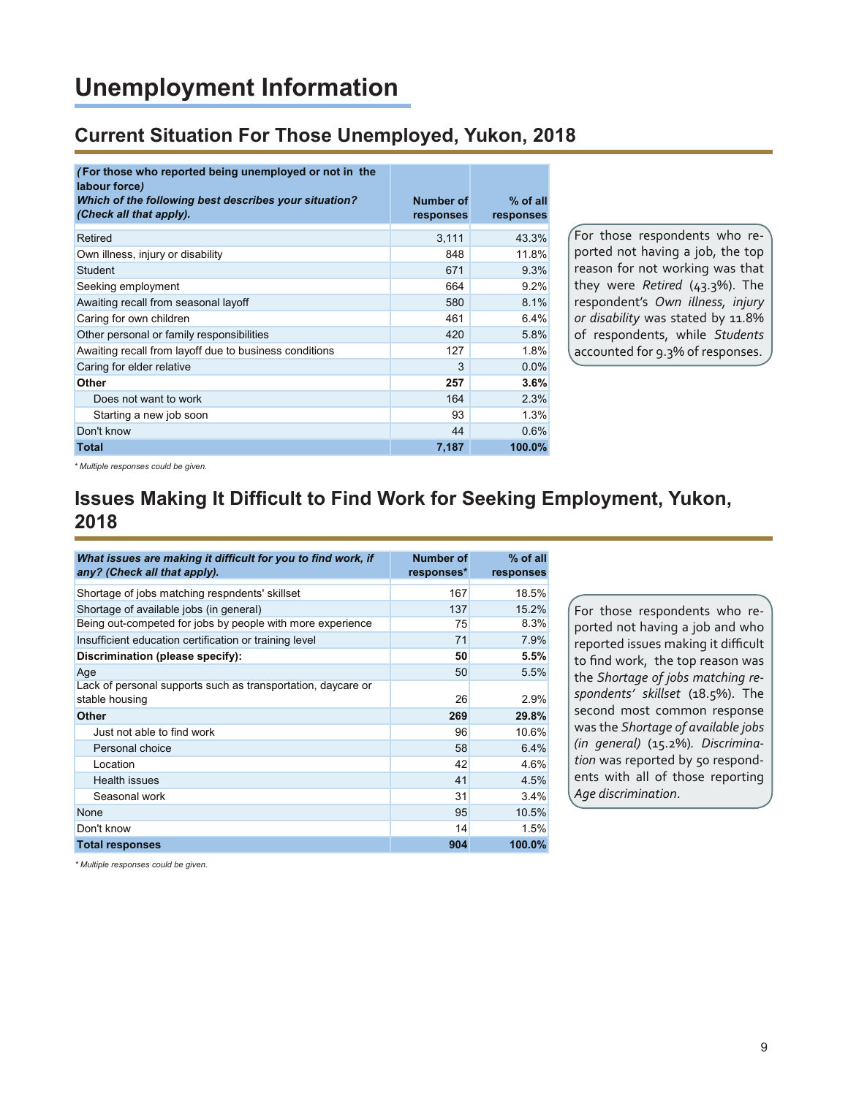# **Unemployment Information**

#### **Current Situation For Those Unemployed, Yukon, 2018**

| (For those who reported being unemployed or not in the<br>labour force)          |                        |                         |
|----------------------------------------------------------------------------------|------------------------|-------------------------|
| Which of the following best describes your situation?<br>(Check all that apply). | Number of<br>responses | $%$ of all<br>responses |
| Retired                                                                          | 3,111                  | 43.3%                   |
| Own illness, injury or disability                                                | 848                    | 11.8%                   |
| <b>Student</b>                                                                   | 671                    | 9.3%                    |
| Seeking employment                                                               | 664                    | 9.2%                    |
| Awaiting recall from seasonal layoff                                             | 580                    | 8.1%                    |
| Caring for own children                                                          | 461                    | 6.4%                    |
| Other personal or family responsibilities                                        | 420                    | 5.8%                    |
| Awaiting recall from layoff due to business conditions                           | 127                    | 1.8%                    |
| Caring for elder relative                                                        | 3                      | 0.0%                    |
| Other                                                                            | 257                    | 3.6%                    |
| Does not want to work                                                            | 164                    | 2.3%                    |
| Starting a new job soon                                                          | 93                     | 1.3%                    |
| Don't know                                                                       | 44                     | 0.6%                    |
| <b>Total</b>                                                                     | 7,187                  | 100.0%                  |

For those respondents who reported not having a job, the top reason for not working was that they were *Retired* (43.3%). The respondent's *Own illness, injury or disability* was stated by 11.8% of respondents, while *Students*  accounted for 9.3% of responses.

*\* Multiple responses could be given.*

#### **Issues Making It Difficult to Find Work for Seeking Employment, Yukon, 2018**

| What issues are making it difficult for you to find work, if<br>any? (Check all that apply). | <b>Number of</b><br>responses* | % of all<br>responses |
|----------------------------------------------------------------------------------------------|--------------------------------|-----------------------|
| Shortage of jobs matching respndents' skillset                                               | 167                            | 18.5%                 |
| Shortage of available jobs (in general)                                                      | 137                            | 15.2%                 |
| Being out-competed for jobs by people with more experience                                   | 75                             | 8.3%                  |
| Insufficient education certification or training level                                       | 71                             | 7.9%                  |
| Discrimination (please specify):                                                             | 50                             | 5.5%                  |
| Age                                                                                          | 50                             | 5.5%                  |
| Lack of personal supports such as transportation, daycare or<br>stable housing               | 26                             | 2.9%                  |
| <b>Other</b>                                                                                 | 269                            | 29.8%                 |
| Just not able to find work                                                                   | 96                             | 10.6%                 |
| Personal choice                                                                              | 58                             | 6.4%                  |
| Location                                                                                     | 42                             | 4.6%                  |
| Health issues                                                                                | 41                             | 4.5%                  |
| Seasonal work                                                                                | 31                             | 3.4%                  |
| None                                                                                         | 95                             | 10.5%                 |
| Don't know                                                                                   | 14                             | 1.5%                  |
| <b>Total responses</b>                                                                       | 904                            | 100.0%                |

For those respondents who reported not having a job and who reported issues making it difficult to find work, the top reason was the *Shortage of jobs matching respondents' skillset* (18.5%). The second most common response was the *Shortage of available jobs (in general)* (15.2%)*. Discrimination* was reported by 50 respondents with all of those reporting *Age discrimination*.

*\* Multiple responses could be given.*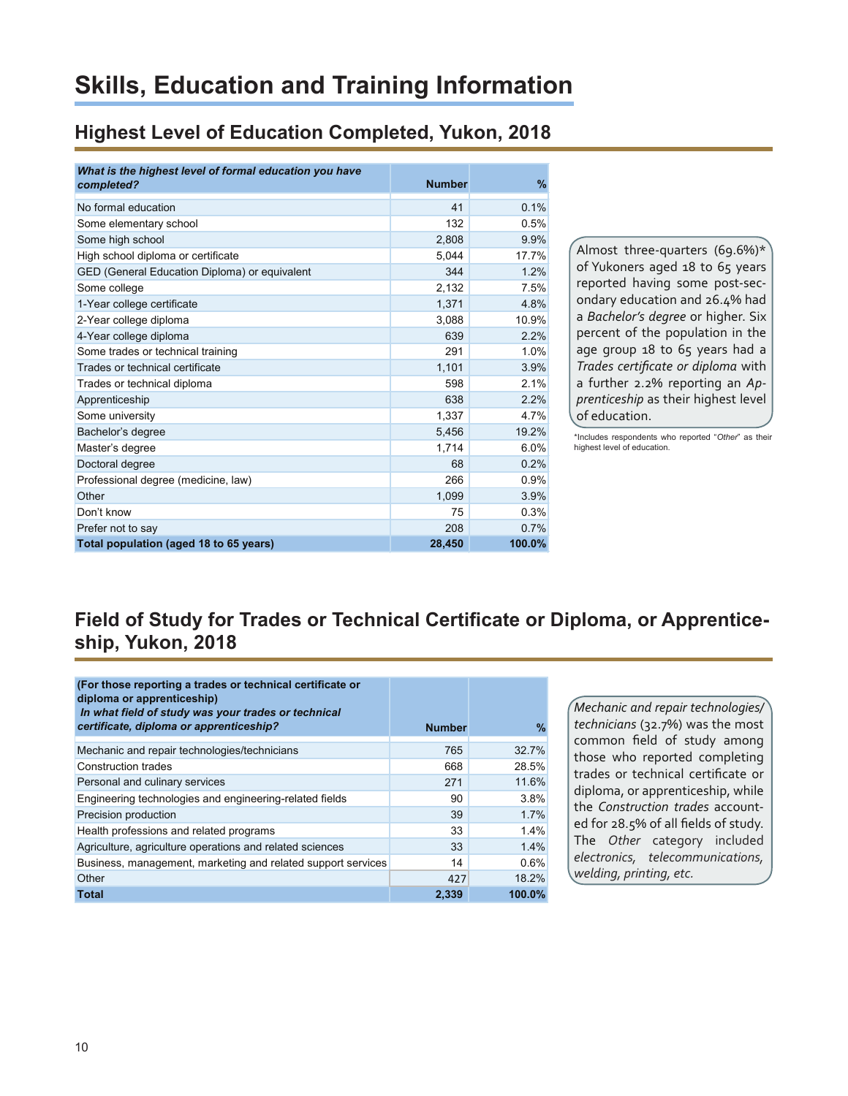# **Skills, Education and Training Information**

### **Highest Level of Education Completed, Yukon, 2018**

| What is the highest level of formal education you have<br>completed? | <b>Number</b> | $\frac{9}{6}$ |
|----------------------------------------------------------------------|---------------|---------------|
|                                                                      |               |               |
| No formal education                                                  | 41            | 0.1%          |
| Some elementary school                                               | 132           | 0.5%          |
| Some high school                                                     | 2,808         | 9.9%          |
| High school diploma or certificate                                   | 5,044         | 17.7%         |
| GED (General Education Diploma) or equivalent                        | 344           | 1.2%          |
| Some college                                                         | 2,132         | 7.5%          |
| 1-Year college certificate                                           | 1,371         | 4.8%          |
| 2-Year college diploma                                               | 3.088         | 10.9%         |
| 4-Year college diploma                                               | 639           | 2.2%          |
| Some trades or technical training                                    | 291           | 1.0%          |
| Trades or technical certificate                                      | 1,101         | 3.9%          |
| Trades or technical diploma                                          | 598           | 2.1%          |
| Apprenticeship                                                       | 638           | 2.2%          |
| Some university                                                      | 1,337         | 4.7%          |
| Bachelor's degree                                                    | 5,456         | 19.2%         |
| Master's degree                                                      | 1,714         | 6.0%          |
| Doctoral degree                                                      | 68            | 0.2%          |
| Professional degree (medicine, law)                                  | 266           | 0.9%          |
| Other                                                                | 1,099         | 3.9%          |
| Don't know                                                           | 75            | 0.3%          |
| Prefer not to say                                                    | 208           | 0.7%          |
| Total population (aged 18 to 65 years)                               | 28,450        | 100.0%        |

Almost three-quarters (69.6%)\* of Yukoners aged 18 to 65 years reported having some post-secondary education and 26.4% had a *Bachelor's degree* or higher. Six percent of the population in the age group 18 to 65 years had a *Trades certificate or diploma* with a further 2.2% reporting an *Apprenticeship* as their highest level of education.

\*Includes respondents who reported "*Other*" as their highest level of education.

## **Field of Study for Trades or Technical Certificate or Diploma, or Apprenticeship, Yukon, 2018**

| (For those reporting a trades or technical certificate or<br>diploma or apprenticeship)<br>In what field of study was your trades or technical<br>certificate, diploma or apprenticeship? | <b>Number</b> | $\%$   |
|-------------------------------------------------------------------------------------------------------------------------------------------------------------------------------------------|---------------|--------|
| Mechanic and repair technologies/technicians                                                                                                                                              | 765           | 32.7%  |
| <b>Construction trades</b>                                                                                                                                                                | 668           | 28.5%  |
| Personal and culinary services                                                                                                                                                            | 271           | 11.6%  |
| Engineering technologies and engineering-related fields                                                                                                                                   | 90            | 3.8%   |
| Precision production                                                                                                                                                                      | 39            | 1.7%   |
| Health professions and related programs                                                                                                                                                   | 33            | 1.4%   |
| Agriculture, agriculture operations and related sciences                                                                                                                                  | 33            | 1.4%   |
| Business, management, marketing and related support services                                                                                                                              | 14            | 0.6%   |
| Other                                                                                                                                                                                     | 427           | 18.2%  |
| <b>Total</b>                                                                                                                                                                              | 2,339         | 100.0% |

*Mechanic and repair technologies/ technicians* (32.7%) was the most common field of study among those who reported completing trades or technical certificate or diploma, or apprenticeship, while the *Construction trades* accounted for 28.5% of all fields of study. The *Other* category included *electronics, telecommunications, welding, printing, etc.*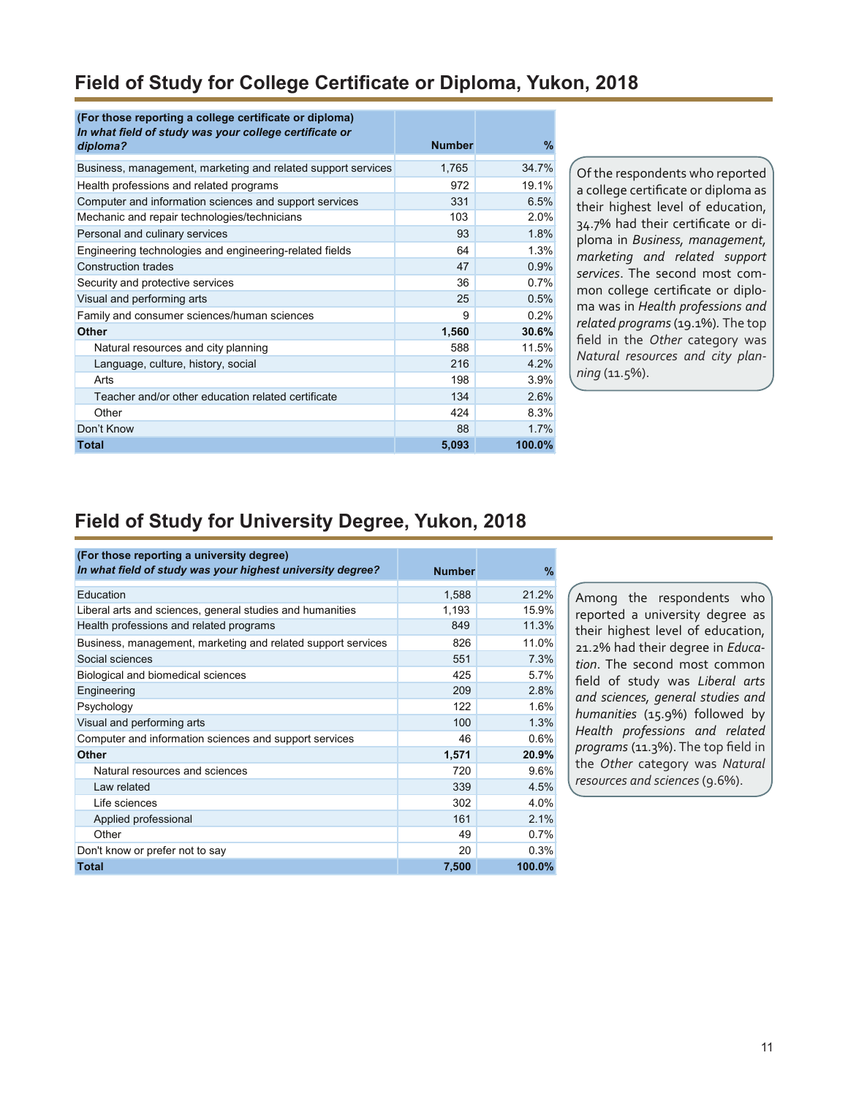### **Field of Study for College Certificate or Diploma, Yukon, 2018**

| (For those reporting a college certificate or diploma)<br>In what field of study was your college certificate or<br>diploma? | <b>Number</b> | $\%$   |
|------------------------------------------------------------------------------------------------------------------------------|---------------|--------|
| Business, management, marketing and related support services                                                                 | 1,765         | 34.7%  |
| Health professions and related programs                                                                                      | 972           | 19.1%  |
| Computer and information sciences and support services                                                                       | 331           | 6.5%   |
| Mechanic and repair technologies/technicians                                                                                 | 103           | 2.0%   |
| Personal and culinary services                                                                                               | 93            | 1.8%   |
| Engineering technologies and engineering-related fields                                                                      | 64            | 1.3%   |
| <b>Construction trades</b>                                                                                                   | 47            | 0.9%   |
| Security and protective services                                                                                             | 36            | 0.7%   |
| Visual and performing arts                                                                                                   | 25            | 0.5%   |
| Family and consumer sciences/human sciences                                                                                  | 9             | 0.2%   |
| <b>Other</b>                                                                                                                 | 1,560         | 30.6%  |
| Natural resources and city planning                                                                                          | 588           | 11.5%  |
| Language, culture, history, social                                                                                           | 216           | 4.2%   |
| Arts                                                                                                                         | 198           | 3.9%   |
| Teacher and/or other education related certificate                                                                           | 134           | 2.6%   |
| Other                                                                                                                        | 424           | 8.3%   |
| Don't Know                                                                                                                   | 88            | 1.7%   |
| <b>Total</b>                                                                                                                 | 5,093         | 100.0% |

Of the respondents who reported a college certificate or diploma as their highest level of education, 34.7% had their certificate or diploma in *Business, management, marketing and related support services*. The second most common college certificate or diploma was in *Health professions and related programs* (19.1%)*.* The top field in the *Other* category was *Natural resources and city planning* (11.5%).

#### **Field of Study for University Degree, Yukon, 2018**

| (For those reporting a university degree)                    |               |               |
|--------------------------------------------------------------|---------------|---------------|
| In what field of study was your highest university degree?   | <b>Number</b> | $\frac{9}{6}$ |
| Education                                                    | 1,588         | 21.2%         |
| Liberal arts and sciences, general studies and humanities    | 1,193         | 15.9%         |
| Health professions and related programs                      | 849           | 11.3%         |
| Business, management, marketing and related support services | 826           | 11.0%         |
| Social sciences                                              | 551           | 7.3%          |
| Biological and biomedical sciences                           | 425           | 5.7%          |
| Engineering                                                  | 209           | 2.8%          |
| Psychology                                                   | 122           | 1.6%          |
| Visual and performing arts                                   | 100           | 1.3%          |
| Computer and information sciences and support services       | 46            | 0.6%          |
| <b>Other</b>                                                 | 1,571         | 20.9%         |
| Natural resources and sciences                               | 720           | 9.6%          |
| Law related                                                  | 339           | 4.5%          |
| Life sciences                                                | 302           | 4.0%          |
| Applied professional                                         | 161           | 2.1%          |
| Other                                                        | 49            | 0.7%          |
| Don't know or prefer not to say                              | 20            | 0.3%          |
| <b>Total</b>                                                 | 7,500         | 100.0%        |

Among the respondents who reported a university degree as their highest level of education, 21.2% had their degree in *Education*. The second most common field of study was *Liberal arts and sciences, general studies and humanities* (15.9%) followed by *Health professions and related programs* (11.3%). The top field in the *Other* category was *Natural resources and sciences* (9.6%).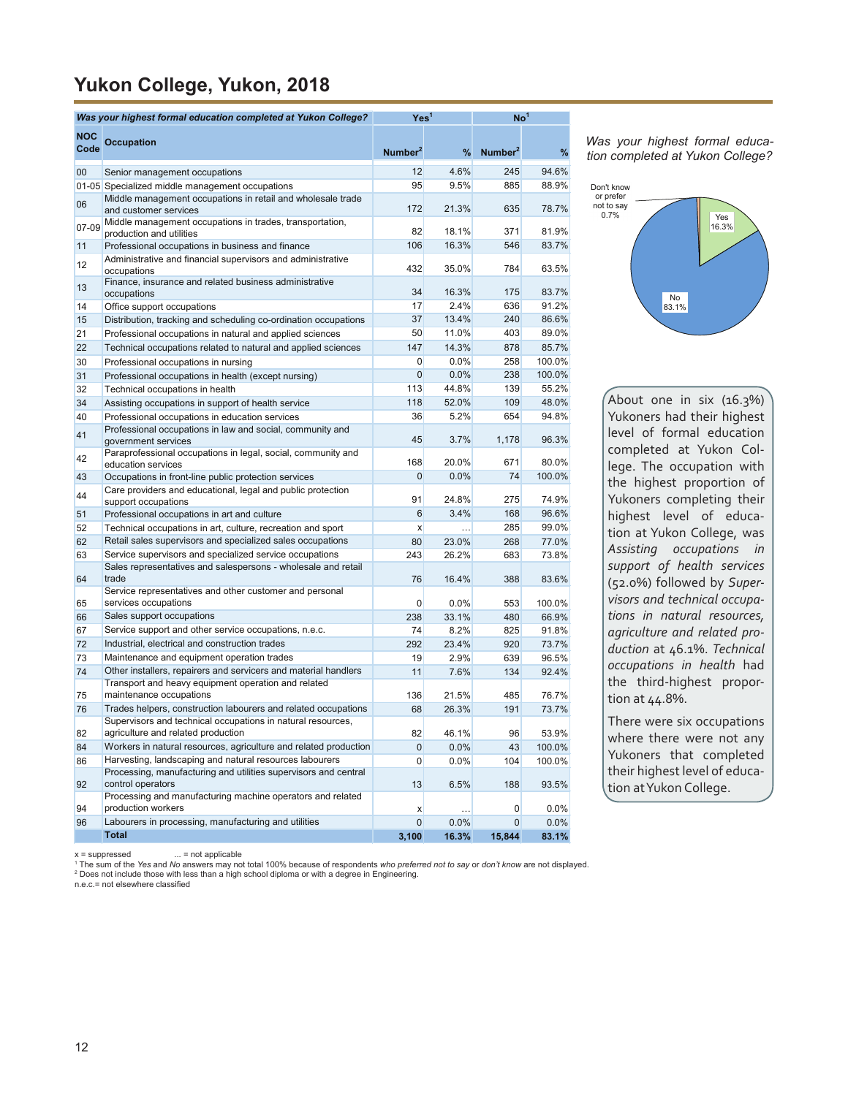### **Yukon College, Yukon, 2018**

|                    | Was your highest formal education completed at Yukon College?                                                                 | Yes <sup>1</sup>    |               | $\mathsf{No}^1$     |                 |
|--------------------|-------------------------------------------------------------------------------------------------------------------------------|---------------------|---------------|---------------------|-----------------|
| <b>NOC</b><br>Code | <b>Occupation</b>                                                                                                             | Number <sup>2</sup> | %             | Number <sup>2</sup> | %               |
| $00\,$             | Senior management occupations                                                                                                 | 12                  | 4.6%          | 245                 | 94.6%           |
|                    | 01-05 Specialized middle management occupations                                                                               | 95                  | 9.5%          | 885                 | 88.9%           |
|                    | Middle management occupations in retail and wholesale trade                                                                   |                     |               |                     |                 |
| 06                 | and customer services                                                                                                         | 172                 | 21.3%         | 635                 | 78.7%           |
| 07-09              | Middle management occupations in trades, transportation,<br>production and utilities                                          | 82                  | 18.1%         | 371                 | 81.9%           |
| 11                 | Professional occupations in business and finance                                                                              | 106                 | 16.3%         | 546                 | 83.7%           |
| 12                 | Administrative and financial supervisors and administrative<br>occupations                                                    | 432                 | 35.0%         | 784                 | 63.5%           |
| 13                 | Finance, insurance and related business administrative<br>occupations                                                         | 34                  | 16.3%         | 175                 | 83.7%           |
| 14                 | Office support occupations                                                                                                    | 17                  | 2.4%          | 636                 | 91.2%           |
| 15                 | Distribution, tracking and scheduling co-ordination occupations                                                               | 37                  | 13.4%         | 240                 | 86.6%           |
| 21                 | Professional occupations in natural and applied sciences                                                                      | 50                  | 11.0%         | 403                 | 89.0%           |
| 22                 | Technical occupations related to natural and applied sciences                                                                 | 147                 | 14.3%         | 878                 | 85.7%           |
| 30                 | Professional occupations in nursing                                                                                           | 0                   | 0.0%          | 258                 | 100.0%          |
| 31                 | Professional occupations in health (except nursing)                                                                           | 0<br>113            | 0.0%<br>44.8% | 238<br>139          | 100.0%<br>55.2% |
| 32                 | Technical occupations in health                                                                                               | 118                 | 52.0%         | 109                 | 48.0%           |
| 34<br>40           | Assisting occupations in support of health service<br>Professional occupations in education services                          | 36                  | 5.2%          | 654                 | 94.8%           |
| 41                 | Professional occupations in law and social, community and<br>government services                                              | 45                  | 3.7%          | 1,178               | 96.3%           |
| 42                 | Paraprofessional occupations in legal, social, community and<br>education services                                            | 168                 | 20.0%         | 671                 | 80.0%           |
| 43                 | Occupations in front-line public protection services                                                                          | 0                   | 0.0%          | 74                  | 100.0%          |
| 44                 | Care providers and educational, legal and public protection<br>support occupations                                            | 91                  | 24.8%         | 275                 | 74.9%           |
| 51                 | Professional occupations in art and culture                                                                                   | 6                   | 3.4%          | 168                 | 96.6%           |
| 52                 | Technical occupations in art, culture, recreation and sport                                                                   | X                   |               | 285                 | 99.0%           |
| 62                 | Retail sales supervisors and specialized sales occupations                                                                    | 80                  | 23.0%         | 268                 | 77.0%           |
| 63                 | Service supervisors and specialized service occupations                                                                       | 243                 | 26.2%         | 683                 | 73.8%           |
| 64                 | Sales representatives and salespersons - wholesale and retail<br>trade                                                        | 76                  | 16.4%         | 388                 | 83.6%           |
| 65                 | Service representatives and other customer and personal<br>services occupations                                               | 0                   | $0.0\%$       | 553                 | 100.0%          |
| 66                 | Sales support occupations                                                                                                     | 238                 | 33.1%         | 480                 | 66.9%           |
| 67                 | Service support and other service occupations, n.e.c.                                                                         | 74                  | 8.2%          | 825                 | 91.8%           |
| 72                 | Industrial, electrical and construction trades                                                                                | 292                 | 23.4%         | 920                 | 73.7%           |
| 73                 | Maintenance and equipment operation trades                                                                                    | 19                  | 2.9%          | 639                 | 96.5%           |
| 74                 | Other installers, repairers and servicers and material handlers<br>Transport and heavy equipment operation and related        | 11                  | 7.6%          | 134                 | 92.4%           |
| 75                 | maintenance occupations                                                                                                       | 136                 | 21.5%         | 485                 | 76.7%           |
| 76                 | Trades helpers, construction labourers and related occupations<br>Supervisors and technical occupations in natural resources, | 68                  | 26.3%         | 191                 | 73.7%           |
| 82                 | agriculture and related production                                                                                            | 82                  | 46.1%         | 96                  | 53.9%           |
| 84                 | Workers in natural resources, agriculture and related production                                                              | $\overline{0}$      | 0.0%          | 43                  | 100.0%          |
| 86                 | Harvesting, landscaping and natural resources labourers                                                                       | 0                   | $0.0\%$       | 104                 | 100.0%          |
| 92                 | Processing, manufacturing and utilities supervisors and central<br>control operators                                          | 13                  | 6.5%          | 188                 | 93.5%           |
| 94                 | Processing and manufacturing machine operators and related<br>production workers                                              | X                   |               | 0                   | $0.0\%$         |
| 96                 | Labourers in processing, manufacturing and utilities                                                                          | $\overline{0}$      | 0.0%          | $\mathbf{0}$        | 0.0%            |
|                    | <b>Total</b>                                                                                                                  | 3,100               | 16.3%         | 15,844              | 83.1%           |

*Was your highest formal education completed at Yukon College?*



About one in six (16.3%) Yukoners had their highest level of formal education completed at Yukon College. The occupation with the highest proportion of Yukoners completing their highest level of education at Yukon College, was *Assisting occupations in support of health services*  (52.0%) followed by *Supervisors and technical occupations in natural resources, agriculture and related production* at 46.1%. *Technical occupations in health* had the third-highest proportion at 44.8%.

There were six occupations where there were not any Yukoners that completed their highest level of education at Yukon College.

 $x =$ suppressed ... = not applicable

<sup>1</sup> The sum of the Yes and No answers may not total 100% because of respondents *who preferred not to say* or *don't know* are not displayed.<br><sup>2</sup> Does not include those with less than a high school diploma or with a degree

n.e.c.= not elsewhere classified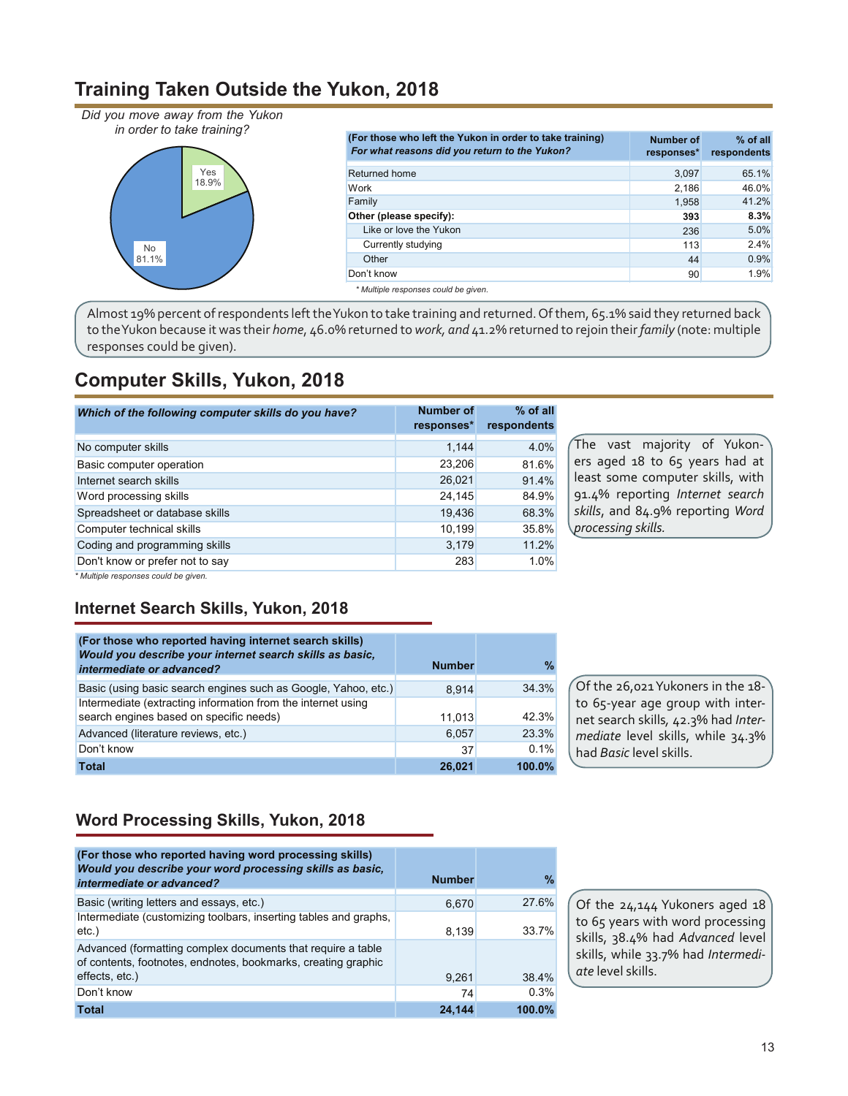#### **Training Taken Outside the Yukon, 2018**

*Did you move away from the Yukon in order to take training?*



| (For those who left the Yukon in order to take training)<br>For what reasons did you return to the Yukon? | <b>Number of</b><br>responses* | % of all<br>respondents |
|-----------------------------------------------------------------------------------------------------------|--------------------------------|-------------------------|
| Returned home                                                                                             | 3,097                          | 65.1%                   |
| Work                                                                                                      | 2,186                          | 46.0%                   |
| Family                                                                                                    | 1,958                          | 41.2%                   |
| Other (please specify):                                                                                   | 393                            | 8.3%                    |
| Like or love the Yukon                                                                                    | 236                            | 5.0%                    |
| Currently studying                                                                                        | 113                            | 2.4%                    |
| Other                                                                                                     | 44                             | 0.9%                    |
| Don't know                                                                                                | 90                             | 1.9%                    |
| * Multiple responses could be aiven.                                                                      |                                |                         |

Almost 19% percent of respondents left the Yukon to take training and returned. Of them, 65.1% said they returned back to the Yukon because it was their *home*, 46.0% returned to *work, and* 41.2% returned to rejoin their *family* (note: multiple responses could be given).

### **Computer Skills, Yukon, 2018**

| Which of the following computer skills do you have? | <b>Number of</b><br>responses* | $%$ of all<br>respondents |
|-----------------------------------------------------|--------------------------------|---------------------------|
| No computer skills                                  | 1.144                          | 4.0%                      |
| Basic computer operation                            | 23,206                         | 81.6%                     |
| Internet search skills                              | 26,021                         | 91.4%                     |
| Word processing skills                              | 24,145                         | 84.9%                     |
| Spreadsheet or database skills                      | 19,436                         | 68.3%                     |
| Computer technical skills                           | 10,199                         | 35.8%                     |
| Coding and programming skills                       | 3,179                          | 11.2%                     |
| Don't know or prefer not to say                     | 283                            | 1.0%                      |

The vast majority of Yukoners aged 18 to 65 years had at least some computer skills, with 91.4% reporting *Internet search skills*, and 84.9% reporting *Word processing skills.*

*\* Multiple responses could be given.*

#### **Internet Search Skills, Yukon, 2018**

| (For those who reported having internet search skills)<br>Would you describe your internet search skills as basic.<br>intermediate or advanced? | <b>Number</b> | $\frac{9}{6}$ |
|-------------------------------------------------------------------------------------------------------------------------------------------------|---------------|---------------|
| Basic (using basic search engines such as Google, Yahoo, etc.)                                                                                  | 8.914         | 34.3%         |
| Intermediate (extracting information from the internet using<br>search engines based on specific needs)                                         | 11.013        | 42.3%         |
| Advanced (literature reviews, etc.)                                                                                                             | 6,057         | 23.3%         |
| Don't know                                                                                                                                      | 37            | 0.1%          |
| <b>Total</b>                                                                                                                                    | 26.021        | 100.0%        |

Of the 26,021 Yukoners in the 18 to 65-year age group with internet search skills*,* 42.3% had *Intermediate* level skills, while 34.3% had *Basic* level skills.

#### **Word Processing Skills, Yukon, 2018**

| (For those who reported having word processing skills)<br>Would you describe your word processing skills as basic,<br>intermediate or advanced? | <b>Number</b> | $\frac{0}{0}$ |
|-------------------------------------------------------------------------------------------------------------------------------------------------|---------------|---------------|
| Basic (writing letters and essays, etc.)                                                                                                        | 6,670         | 27.6%         |
| Intermediate (customizing toolbars, inserting tables and graphs,<br>etc.                                                                        | 8.139         | 33.7%         |
| Advanced (formatting complex documents that require a table<br>of contents, footnotes, endnotes, bookmarks, creating graphic                    |               |               |
| effects, etc.)                                                                                                                                  | 9,261         | 38.4%         |
| Don't know                                                                                                                                      | 74            | 0.3%          |
| <b>Total</b>                                                                                                                                    | 24.144        | 100.0%        |

Of the 24,144 Yukoners aged 18 to 65 years with word processing skills, 38.4% had *Advanced* level skills, while 33.7% had *Intermediate* level skills.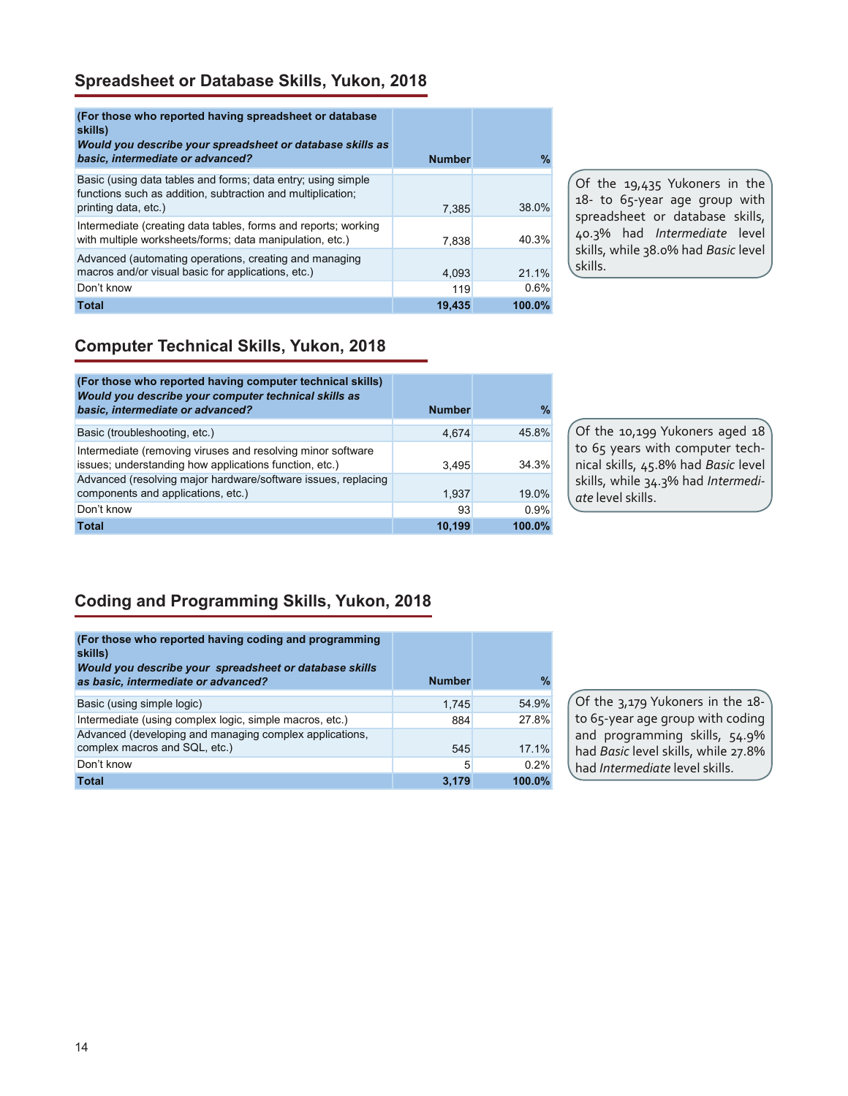#### **Spreadsheet or Database Skills, Yukon, 2018**

| (For those who reported having spreadsheet or database)<br>skills)<br>Would you describe your spreadsheet or database skills as<br>basic, intermediate or advanced? | <b>Number</b> | $\%$   |
|---------------------------------------------------------------------------------------------------------------------------------------------------------------------|---------------|--------|
| Basic (using data tables and forms; data entry; using simple<br>functions such as addition, subtraction and multiplication;<br>printing data, etc.)                 | 7,385         | 38.0%  |
| Intermediate (creating data tables, forms and reports; working<br>with multiple worksheets/forms; data manipulation, etc.)                                          | 7,838         | 40.3%  |
| Advanced (automating operations, creating and managing<br>macros and/or visual basic for applications, etc.)                                                        | 4.093         | 21.1%  |
| Don't know                                                                                                                                                          | 119           | 0.6%   |
| <b>Total</b>                                                                                                                                                        | 19,435        | 100.0% |

Of the 19,435 Yukoners in the 18- to 65-year age group with spreadsheet or database skills, 40.3% had *Intermediate* level skills, while 38.0% had *Basic* level skills.

#### **Computer Technical Skills, Yukon, 2018**

| (For those who reported having computer technical skills)<br>Would you describe your computer technical skills as<br>basic, intermediate or advanced? | <b>Number</b> | $\frac{9}{6}$ |
|-------------------------------------------------------------------------------------------------------------------------------------------------------|---------------|---------------|
| Basic (troubleshooting, etc.)                                                                                                                         | 4.674         | 45.8%         |
| Intermediate (removing viruses and resolving minor software<br>issues; understanding how applications function, etc.)                                 | 3.495         | 34 3%         |
| Advanced (resolving major hardware/software issues, replacing<br>components and applications, etc.)                                                   | 1.937         | 19.0%         |
| Don't know                                                                                                                                            | 93            | 0.9%          |
| <b>Total</b>                                                                                                                                          | 10.199        | 100.0%        |

Of the 10,199 Yukoners aged 18 to 65 years with computer technical skills, 45.8% had *Basic* level skills, while 34.3% had *Intermediate* level skills.

#### **Coding and Programming Skills, Yukon, 2018**

| (For those who reported having coding and programming<br>skills)<br>Would you describe your spreadsheet or database skills<br>as basic, intermediate or advanced? | <b>Number</b> | $\%$      |
|-------------------------------------------------------------------------------------------------------------------------------------------------------------------|---------------|-----------|
| Basic (using simple logic)                                                                                                                                        | 1,745         | 54.9%     |
| Intermediate (using complex logic, simple macros, etc.)                                                                                                           | 884           | 27.8%     |
| Advanced (developing and managing complex applications,<br>complex macros and SQL, etc.)                                                                          | 545           | 17.1%     |
| Don't know                                                                                                                                                        | 5             | 0.2%      |
| <b>Total</b>                                                                                                                                                      | 3.179         | $100.0\%$ |

Of the 3,179 Yukoners in the 18 to 65-year age group with coding and programming skills, 54.9% had *Basic* level skills, while 27.8% had *Intermediate* level skills.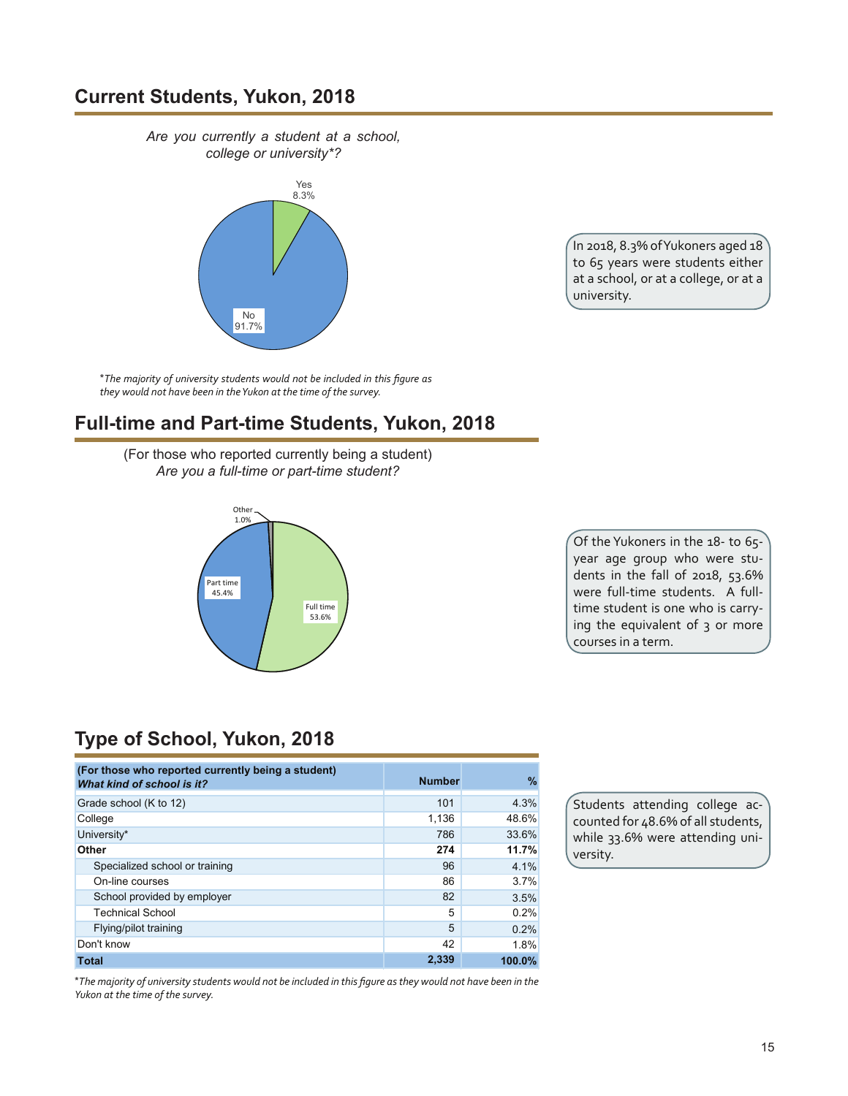#### **Current Students, Yukon, 2018**

*Are you currently a student at a school, college or university\*?*



\**The majority of university students would not be included in this figure as they would not have been in the Yukon at the time of the survey.*

#### **Full-time and Part-time Students, Yukon, 2018**

(For those who reported currently being a student) *Are you a full-time or part-time student?*



In 2018, 8.3% of Yukoners aged 18 to 65 years were students either at a school, or at a college, or at a university.

Of the Yukoners in the 18- to 65 year age group who were students in the fall of 2018, 53.6% were full-time students. A fulltime student is one who is carrying the equivalent of 3 or more courses in a term.

### **Type of School, Yukon, 2018**

| (For those who reported currently being a student)<br>What kind of school is it? | <b>Number</b> | %      |
|----------------------------------------------------------------------------------|---------------|--------|
| Grade school (K to 12)                                                           | 101           | 4.3%   |
| College                                                                          | 1,136         | 48.6%  |
| University*                                                                      | 786           | 33.6%  |
| Other                                                                            | 274           | 11.7%  |
| Specialized school or training                                                   | 96            | 4.1%   |
| On-line courses                                                                  | 86            | 3.7%   |
| School provided by employer                                                      | 82            | 3.5%   |
| <b>Technical School</b>                                                          | 5             | 0.2%   |
| Flying/pilot training                                                            | 5             | 0.2%   |
| Don't know                                                                       | 42            | 1.8%   |
| <b>Total</b>                                                                     | 2,339         | 100.0% |

\*The majority of university students would not be included in this figure as they would not have been in the *Yukon at the time of the survey.*

Students attending college accounted for 48.6% of all students, while 33.6% were attending university.